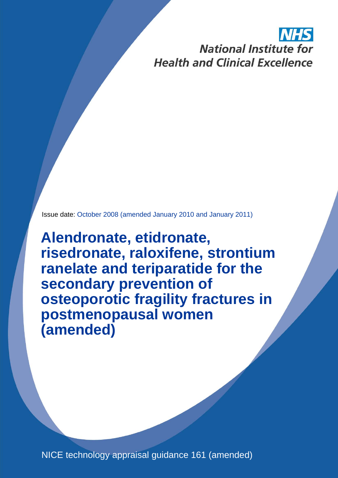# **National Institute for Health and Clinical Excellence**

Issue date: October 2008 (amended January 2010 and January 2011)

**Alendronate, etidronate, risedronate, raloxifene, strontium ranelate and teriparatide for the secondary prevention of osteoporotic fragility fractures in postmenopausal women (amended)**

NICE technology appraisal guidance 161 (amended)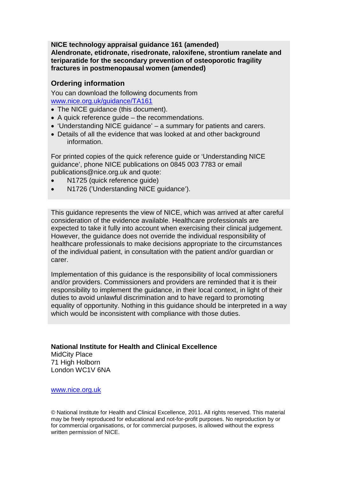**NICE technology appraisal guidance 161 (amended) Alendronate, etidronate, risedronate, raloxifene, strontium ranelate and teriparatide for the secondary prevention of osteoporotic fragility fractures in postmenopausal women (amended)**

# **Ordering information**

You can download the following documents from [www.nice.org.uk/guidance/TA161](http://www.nice.org.uk/guidance/TA161)

- The NICE guidance (this document).
- A quick reference guide the recommendations.
- 'Understanding NICE guidance' a summary for patients and carers.
- Details of all the evidence that was looked at and other background information.

For printed copies of the quick reference guide or 'Understanding NICE guidance', phone NICE publications on 0845 003 7783 or email publications@nice.org.uk and quote:

- N1725 (quick reference quide)
- N1726 ('Understanding NICE guidance').

This guidance represents the view of NICE, which was arrived at after careful consideration of the evidence available. Healthcare professionals are expected to take it fully into account when exercising their clinical judgement. However, the guidance does not override the individual responsibility of healthcare professionals to make decisions appropriate to the circumstances of the individual patient, in consultation with the patient and/or guardian or carer.

Implementation of this guidance is the responsibility of local commissioners and/or providers. Commissioners and providers are reminded that it is their responsibility to implement the guidance, in their local context, in light of their duties to avoid unlawful discrimination and to have regard to promoting equality of opportunity. Nothing in this guidance should be interpreted in a way which would be inconsistent with compliance with those duties.

## **National Institute for Health and Clinical Excellence**

MidCity Place 71 High Holborn London WC1V 6NA

[www.nice.org.uk](http://www.nice.org.uk/)

© National Institute for Health and Clinical Excellence, 2011. All rights reserved. This material may be freely reproduced for educational and not-for-profit purposes. No reproduction by or for commercial organisations, or for commercial purposes, is allowed without the express written permission of NICE.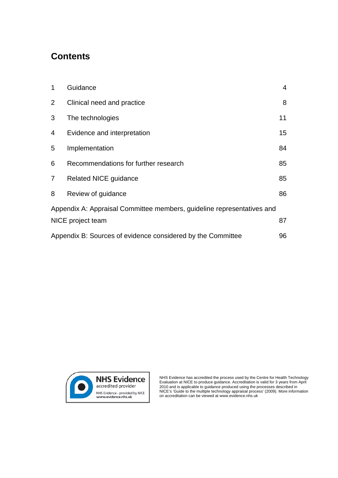# **Contents**

| 1                                                                      | Guidance                             | $\overline{4}$ |  |  |  |
|------------------------------------------------------------------------|--------------------------------------|----------------|--|--|--|
| $\overline{2}$                                                         | Clinical need and practice           | 8              |  |  |  |
| 3                                                                      | The technologies                     | 11             |  |  |  |
| 4                                                                      | Evidence and interpretation          | 15             |  |  |  |
| 5                                                                      | Implementation                       | 84             |  |  |  |
| 6                                                                      | Recommendations for further research | 85             |  |  |  |
| 7 <sup>1</sup>                                                         | <b>Related NICE guidance</b>         | 85             |  |  |  |
| 8                                                                      | Review of guidance                   | 86             |  |  |  |
| Appendix A: Appraisal Committee members, guideline representatives and |                                      |                |  |  |  |
|                                                                        | NICE project team<br>87              |                |  |  |  |
| 96<br>Appendix B: Sources of evidence considered by the Committee      |                                      |                |  |  |  |



NHS Evidence has accredited the process used by the Centre for Health Technology Evaluation at NICE to produce guidance. Accreditation is valid for 3 years from April 2010 and is applicable to guidance produced using the processes described in NICE's 'Guide to the multiple technology appraisal process' (2009). More information on accreditation can be viewed at www.evidence.nhs.uk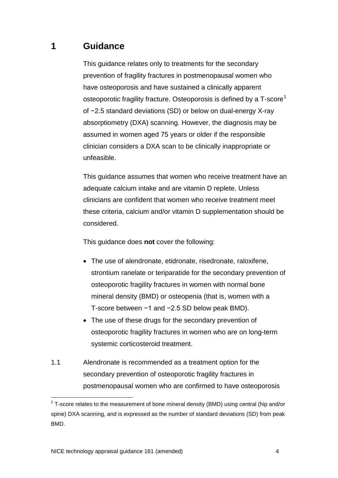# **1 Guidance**

This guidance relates only to treatments for the secondary prevention of fragility fractures in postmenopausal women who have osteoporosis and have sustained a clinically apparent osteoporotic fragility fracture. Osteoporosis is defined by a T-score<sup>[1](#page-3-0)</sup> of −2.5 standard deviations (SD) or below on dual-energy X-ray absorptiometry (DXA) scanning. However, the diagnosis may be assumed in women aged 75 years or older if the responsible clinician considers a DXA scan to be clinically inappropriate or unfeasible.

This guidance assumes that women who receive treatment have an adequate calcium intake and are vitamin D replete. Unless clinicians are confident that women who receive treatment meet these criteria, calcium and/or vitamin D supplementation should be considered.

This guidance does **not** cover the following:

- The use of alendronate, etidronate, risedronate, raloxifene, strontium ranelate or teriparatide for the secondary prevention of osteoporotic fragility fractures in women with normal bone mineral density (BMD) or osteopenia (that is, women with a T-score between −1 and −2.5 SD below peak BMD).
- The use of these drugs for the secondary prevention of osteoporotic fragility fractures in women who are on long-term systemic corticosteroid treatment.
- 1.1 Alendronate is recommended as a treatment option for the secondary prevention of osteoporotic fragility fractures in postmenopausal women who are confirmed to have osteoporosis

<span id="page-3-0"></span> $1$  T-score relates to the measurement of bone mineral density (BMD) using central (hip and/or spine) DXA scanning, and is expressed as the number of standard deviations (SD) from peak BMD.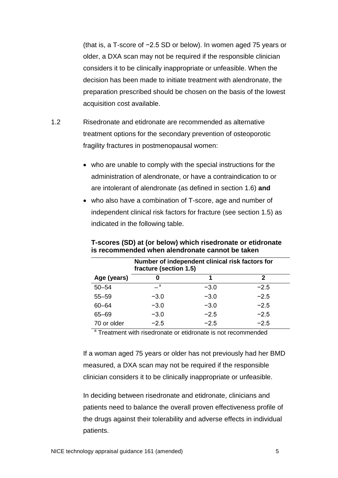(that is, a T-score of −2.5 SD or below). In women aged 75 years or older, a DXA scan may not be required if the responsible clinician considers it to be clinically inappropriate or unfeasible. When the decision has been made to initiate treatment with alendronate, the preparation prescribed should be chosen on the basis of the lowest acquisition cost available.

- 1.2 Risedronate and etidronate are recommended as alternative treatment options for the secondary prevention of osteoporotic fragility fractures in postmenopausal women:
	- who are unable to comply with the special instructions for the administration of alendronate, or have a contraindication to or are intolerant of alendronate (as defined in section 1.6) **and**
	- who also have a combination of T-score, age and number of independent clinical risk factors for fracture (see section 1.5) as indicated in the following table.

|             | Number of independent clinical risk factors for<br>fracture (section 1.5) |        |        |  |
|-------------|---------------------------------------------------------------------------|--------|--------|--|
| Age (years) | n                                                                         | 1      | 2      |  |
| $50 - 54$   | $\overline{\phantom{a}}$ a                                                | $-3.0$ | $-2.5$ |  |
| $55 - 59$   | $-3.0$                                                                    | $-3.0$ | $-2.5$ |  |
| $60 - 64$   | $-3.0$                                                                    | $-3.0$ | $-2.5$ |  |
| $65 - 69$   | $-3.0$                                                                    | $-2.5$ | $-2.5$ |  |
| 70 or older | $-2.5$                                                                    | $-2.5$ | $-2.5$ |  |

**T-scores (SD) at (or below) which risedronate or etidronate is recommended when alendronate cannot be taken**

<sup>a</sup> Treatment with risedronate or etidronate is not recommended

If a woman aged 75 years or older has not previously had her BMD measured, a DXA scan may not be required if the responsible clinician considers it to be clinically inappropriate or unfeasible.

In deciding between risedronate and etidronate, clinicians and patients need to balance the overall proven effectiveness profile of the drugs against their tolerability and adverse effects in individual patients.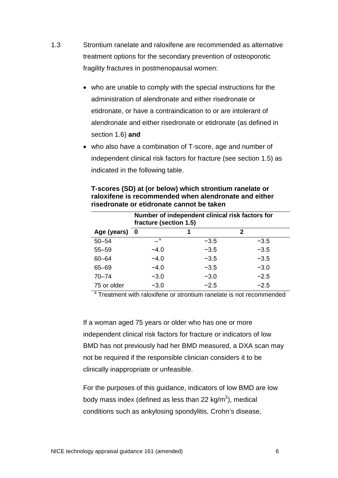- 1.3 Strontium ranelate and raloxifene are recommended as alternative treatment options for the secondary prevention of osteoporotic fragility fractures in postmenopausal women:
	- who are unable to comply with the special instructions for the administration of alendronate and either risedronate or etidronate, or have a contraindication to or are intolerant of alendronate and either risedronate or etidronate (as defined in section 1.6) **and**
	- who also have a combination of T-score, age and number of independent clinical risk factors for fracture (see section 1.5) as indicated in the following table.

|               | Number of independent clinical risk factors for<br>fracture (section 1.5) |        |        |  |  |
|---------------|---------------------------------------------------------------------------|--------|--------|--|--|
| Age (years) 0 |                                                                           | 1      | 2      |  |  |
| $50 - 54$     | a a                                                                       | $-3.5$ | $-3.5$ |  |  |
| $55 - 59$     | $-4.0$                                                                    | $-3.5$ | $-3.5$ |  |  |
| $60 - 64$     | $-4.0$                                                                    | $-3.5$ | $-3.5$ |  |  |
| $65 - 69$     | $-4.0$                                                                    | $-3.5$ | $-3.0$ |  |  |
| $70 - 74$     | $-3.0$                                                                    | $-3.0$ | $-2.5$ |  |  |
| 75 or older   | $-3.0$                                                                    | $-2.5$ | $-2.5$ |  |  |

## **T-scores (SD) at (or below) which strontium ranelate or raloxifene is recommended when alendronate and either risedronate or etidronate cannot be taken**

<sup>a</sup> Treatment with raloxifene or strontium ranelate is not recommended

If a woman aged 75 years or older who has one or more independent clinical risk factors for fracture or indicators of low BMD has not previously had her BMD measured, a DXA scan may not be required if the responsible clinician considers it to be clinically inappropriate or unfeasible.

For the purposes of this guidance, indicators of low BMD are low body mass index (defined as less than 22 kg/m $^2$ ), medical conditions such as ankylosing spondylitis, Crohn's disease,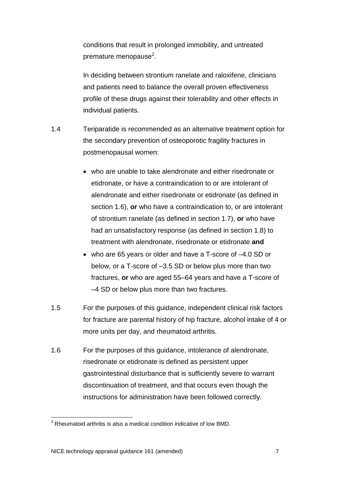conditions that result in prolonged immobility, and untreated premature menopause<sup>[2](#page-6-0)</sup>.

In deciding between strontium ranelate and raloxifene, clinicians and patients need to balance the overall proven effectiveness profile of these drugs against their tolerability and other effects in individual patients.

- 1.4 Teriparatide is recommended as an alternative treatment option for the secondary prevention of osteoporotic fragility fractures in postmenopausal women:
	- who are unable to take alendronate and either risedronate or etidronate, or have a contraindication to or are intolerant of alendronate and either risedronate or etidronate (as defined in section 1.6), **or** who have a contraindication to, or are intolerant of strontium ranelate (as defined in section 1.7), **or** who have had an unsatisfactory response (as defined in section 1.8) to treatment with alendronate, risedronate or etidronate **and**
	- who are 65 years or older and have a T-score of –4.0 SD or below, or a T-score of –3.5 SD or below plus more than two fractures, **or** who are aged 55–64 years and have a T-score of –4 SD or below plus more than two fractures.
- 1.5 For the purposes of this guidance, independent clinical risk factors for fracture are parental history of hip fracture, alcohol intake of 4 or more units per day, and rheumatoid arthritis.
- 1.6 For the purposes of this guidance, intolerance of alendronate, risedronate or etidronate is defined as persistent upper gastrointestinal disturbance that is sufficiently severe to warrant discontinuation of treatment, and that occurs even though the instructions for administration have been followed correctly.

<span id="page-6-0"></span> $2$  Rheumatoid arthritis is also a medical condition indicative of low BMD.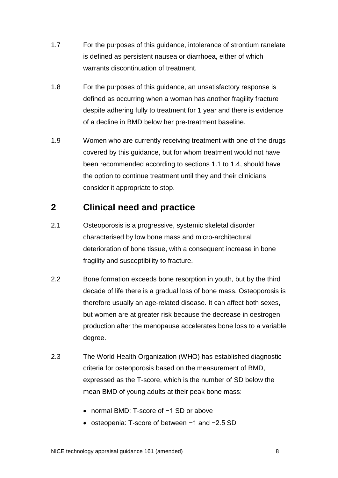- 1.7 For the purposes of this guidance, intolerance of strontium ranelate is defined as persistent nausea or diarrhoea, either of which warrants discontinuation of treatment.
- 1.8 For the purposes of this guidance, an unsatisfactory response is defined as occurring when a woman has another fragility fracture despite adhering fully to treatment for 1 year and there is evidence of a decline in BMD below her pre-treatment baseline.
- 1.9 Women who are currently receiving treatment with one of the drugs covered by this guidance, but for whom treatment would not have been recommended according to sections 1.1 to 1.4, should have the option to continue treatment until they and their clinicians consider it appropriate to stop.

# **2 Clinical need and practice**

- 2.1 Osteoporosis is a progressive, systemic skeletal disorder characterised by low bone mass and micro-architectural deterioration of bone tissue, with a consequent increase in bone fragility and susceptibility to fracture.
- 2.2 Bone formation exceeds bone resorption in youth, but by the third decade of life there is a gradual loss of bone mass. Osteoporosis is therefore usually an age-related disease. It can affect both sexes, but women are at greater risk because the decrease in oestrogen production after the menopause accelerates bone loss to a variable degree.
- <span id="page-7-0"></span>2.3 The World Health Organization (WHO) has established diagnostic criteria for osteoporosis based on the measurement of BMD, expressed as the T-score, which is the number of SD below the mean BMD of young adults at their peak bone mass:
	- normal BMD: T-score of −1 SD or above
	- osteopenia: T-score of between −1 and −2.5 SD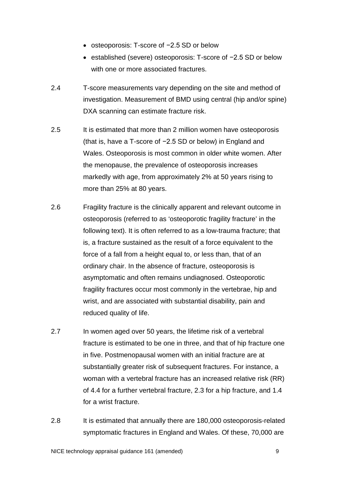- osteoporosis: T-score of −2.5 SD or below
- established (severe) osteoporosis: T-score of −2.5 SD or below with one or more associated fractures.
- 2.4 T-score measurements vary depending on the site and method of investigation. Measurement of BMD using central (hip and/or spine) DXA scanning can estimate fracture risk.
- 2.5 It is estimated that more than 2 million women have osteoporosis (that is, have a T-score of −2.5 SD or below) in England and Wales. Osteoporosis is most common in older white women. After the menopause, the prevalence of osteoporosis increases markedly with age, from approximately 2% at 50 years rising to more than 25% at 80 years.
- 2.6 Fragility fracture is the clinically apparent and relevant outcome in osteoporosis (referred to as 'osteoporotic fragility fracture' in the following text). It is often referred to as a low-trauma fracture; that is, a fracture sustained as the result of a force equivalent to the force of a fall from a height equal to, or less than, that of an ordinary chair. In the absence of fracture, osteoporosis is asymptomatic and often remains undiagnosed. Osteoporotic fragility fractures occur most commonly in the vertebrae, hip and wrist, and are associated with substantial disability, pain and reduced quality of life.
- 2.7 In women aged over 50 years, the lifetime risk of a vertebral fracture is estimated to be one in three, and that of hip fracture one in five. Postmenopausal women with an initial fracture are at substantially greater risk of subsequent fractures. For instance, a woman with a vertebral fracture has an increased relative risk (RR) of 4.4 for a further vertebral fracture, 2.3 for a hip fracture, and 1.4 for a wrist fracture.
- 2.8 It is estimated that annually there are 180,000 osteoporosis-related symptomatic fractures in England and Wales. Of these, 70,000 are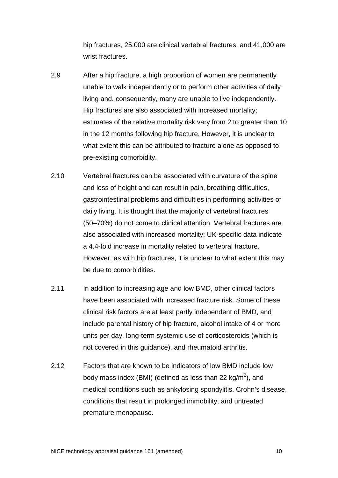hip fractures, 25,000 are clinical vertebral fractures, and 41,000 are wrist fractures.

- 2.9 After a hip fracture, a high proportion of women are permanently unable to walk independently or to perform other activities of daily living and, consequently, many are unable to live independently. Hip fractures are also associated with increased mortality; estimates of the relative mortality risk vary from 2 to greater than 10 in the 12 months following hip fracture. However, it is unclear to what extent this can be attributed to fracture alone as opposed to pre-existing comorbidity.
- 2.10 Vertebral fractures can be associated with curvature of the spine and loss of height and can result in pain, breathing difficulties, gastrointestinal problems and difficulties in performing activities of daily living. It is thought that the majority of vertebral fractures (50–70%) do not come to clinical attention. Vertebral fractures are also associated with increased mortality; UK-specific data indicate a 4.4-fold increase in mortality related to vertebral fracture. However, as with hip fractures, it is unclear to what extent this may be due to comorbidities.
- 2.11 In addition to increasing age and low BMD, other clinical factors have been associated with increased fracture risk. Some of these clinical risk factors are at least partly independent of BMD, and include parental history of hip fracture, alcohol intake of 4 or more units per day, long-term systemic use of corticosteroids (which is not covered in this guidance), and rheumatoid arthritis.
- 2.12 Factors that are known to be indicators of low BMD include low body mass index (BMI) (defined as less than 22 kg/m<sup>2</sup>), and medical conditions such as ankylosing spondylitis, Crohn's disease, conditions that result in prolonged immobility, and untreated premature menopause.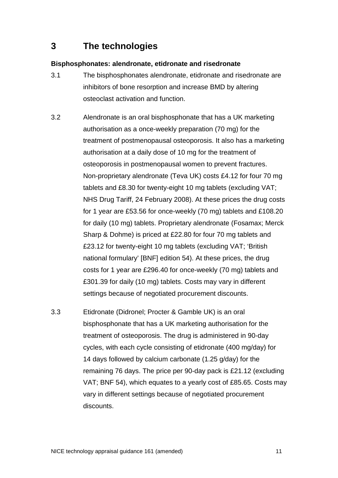# **3 The technologies**

# **Bisphosphonates: alendronate, etidronate and risedronate**

- 3.1 The bisphosphonates alendronate, etidronate and risedronate are inhibitors of bone resorption and increase BMD by altering osteoclast activation and function.
- 3.2 Alendronate is an oral bisphosphonate that has a UK marketing authorisation as a once-weekly preparation (70 mg) for the treatment of postmenopausal osteoporosis. It also has a marketing authorisation at a daily dose of 10 mg for the treatment of osteoporosis in postmenopausal women to prevent fractures. Non-proprietary alendronate (Teva UK) costs £4.12 for four 70 mg tablets and £8.30 for twenty-eight 10 mg tablets (excluding VAT; NHS Drug Tariff, 24 February 2008). At these prices the drug costs for 1 year are £53.56 for once-weekly (70 mg) tablets and £108.20 for daily (10 mg) tablets. Proprietary alendronate (Fosamax; Merck Sharp & Dohme) is priced at £22.80 for four 70 mg tablets and £23.12 for twenty-eight 10 mg tablets (excluding VAT; 'British national formulary' [BNF] edition 54). At these prices, the drug costs for 1 year are £296.40 for once-weekly (70 mg) tablets and £301.39 for daily (10 mg) tablets. Costs may vary in different settings because of negotiated procurement discounts.
- 3.3 Etidronate (Didronel; Procter & Gamble UK) is an oral bisphosphonate that has a UK marketing authorisation for the treatment of osteoporosis. The drug is administered in 90-day cycles, with each cycle consisting of etidronate (400 mg/day) for 14 days followed by calcium carbonate (1.25 g/day) for the remaining 76 days. The price per 90-day pack is £21.12 (excluding VAT; BNF 54), which equates to a yearly cost of £85.65. Costs may vary in different settings because of negotiated procurement discounts.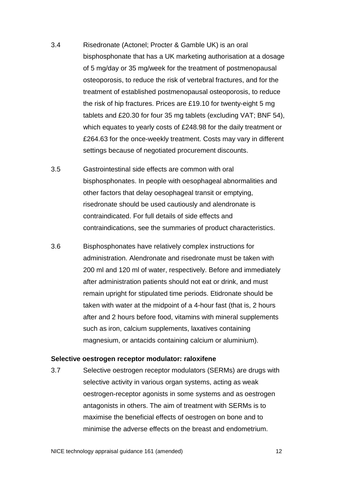- 3.4 Risedronate (Actonel; Procter & Gamble UK) is an oral bisphosphonate that has a UK marketing authorisation at a dosage of 5 mg/day or 35 mg/week for the treatment of postmenopausal osteoporosis, to reduce the risk of vertebral fractures, and for the treatment of established postmenopausal osteoporosis, to reduce the risk of hip fractures. Prices are £19.10 for twenty-eight 5 mg tablets and £20.30 for four 35 mg tablets (excluding VAT; BNF 54), which equates to yearly costs of £248.98 for the daily treatment or £264.63 for the once-weekly treatment. Costs may vary in different settings because of negotiated procurement discounts.
- 3.5 Gastrointestinal side effects are common with oral bisphosphonates. In people with oesophageal abnormalities and other factors that delay oesophageal transit or emptying, risedronate should be used cautiously and alendronate is contraindicated. For full details of side effects and contraindications, see the summaries of product characteristics.
- 3.6 Bisphosphonates have relatively complex instructions for administration. Alendronate and risedronate must be taken with 200 ml and 120 ml of water, respectively. Before and immediately after administration patients should not eat or drink, and must remain upright for stipulated time periods. Etidronate should be taken with water at the midpoint of a 4-hour fast (that is, 2 hours after and 2 hours before food, vitamins with mineral supplements such as iron, calcium supplements, laxatives containing magnesium, or antacids containing calcium or aluminium).

#### **Selective oestrogen receptor modulator: raloxifene**

3.7 Selective oestrogen receptor modulators (SERMs) are drugs with selective activity in various organ systems, acting as weak oestrogen-receptor agonists in some systems and as oestrogen antagonists in others. The aim of treatment with SERMs is to maximise the beneficial effects of oestrogen on bone and to minimise the adverse effects on the breast and endometrium.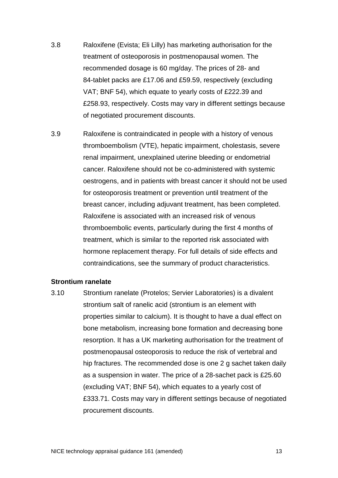- 3.8 Raloxifene (Evista; Eli Lilly) has marketing authorisation for the treatment of osteoporosis in postmenopausal women. The recommended dosage is 60 mg/day. The prices of 28- and 84-tablet packs are £17.06 and £59.59, respectively (excluding VAT; BNF 54), which equate to yearly costs of £222.39 and £258.93, respectively. Costs may vary in different settings because of negotiated procurement discounts.
- 3.9 Raloxifene is contraindicated in people with a history of venous thromboembolism (VTE), hepatic impairment, cholestasis, severe renal impairment, unexplained uterine bleeding or endometrial cancer. Raloxifene should not be co-administered with systemic oestrogens, and in patients with breast cancer it should not be used for osteoporosis treatment or prevention until treatment of the breast cancer, including adjuvant treatment, has been completed. Raloxifene is associated with an increased risk of venous thromboembolic events, particularly during the first 4 months of treatment, which is similar to the reported risk associated with hormone replacement therapy. For full details of side effects and contraindications, see the summary of product characteristics.

#### **Strontium ranelate**

3.10 Strontium ranelate (Protelos; Servier Laboratories) is a divalent strontium salt of ranelic acid (strontium is an element with properties similar to calcium). It is thought to have a dual effect on bone metabolism, increasing bone formation and decreasing bone resorption. It has a UK marketing authorisation for the treatment of postmenopausal osteoporosis to reduce the risk of vertebral and hip fractures. The recommended dose is one 2 g sachet taken daily as a suspension in water. The price of a 28-sachet pack is £25.60 (excluding VAT; BNF 54), which equates to a yearly cost of £333.71. Costs may vary in different settings because of negotiated procurement discounts.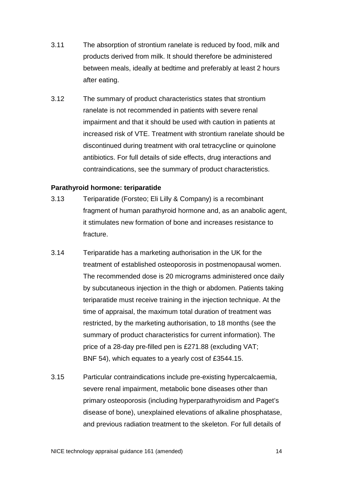- 3.11 The absorption of strontium ranelate is reduced by food, milk and products derived from milk. It should therefore be administered between meals, ideally at bedtime and preferably at least 2 hours after eating.
- 3.12 The summary of product characteristics states that strontium ranelate is not recommended in patients with severe renal impairment and that it should be used with caution in patients at increased risk of VTE. Treatment with strontium ranelate should be discontinued during treatment with oral tetracycline or quinolone antibiotics. For full details of side effects, drug interactions and contraindications, see the summary of product characteristics.

## **Parathyroid hormone: teriparatide**

- 3.13 Teriparatide (Forsteo; Eli Lilly & Company) is a recombinant fragment of human parathyroid hormone and, as an anabolic agent, it stimulates new formation of bone and increases resistance to fracture.
- 3.14 Teriparatide has a marketing authorisation in the UK for the treatment of established osteoporosis in postmenopausal women. The recommended dose is 20 micrograms administered once daily by subcutaneous injection in the thigh or abdomen. Patients taking teriparatide must receive training in the injection technique. At the time of appraisal, the maximum total duration of treatment was restricted, by the marketing authorisation, to 18 months (see the summary of product characteristics for current information). The price of a 28-day pre-filled pen is £271.88 (excluding VAT; BNF 54), which equates to a yearly cost of £3544.15.
- 3.15 Particular contraindications include pre-existing hypercalcaemia, severe renal impairment, metabolic bone diseases other than primary osteoporosis (including hyperparathyroidism and Paget's disease of bone), unexplained elevations of alkaline phosphatase, and previous radiation treatment to the skeleton. For full details of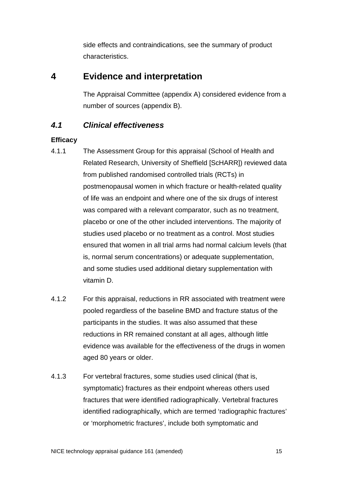side effects and contraindications, see the summary of product characteristics.

# **4 Evidence and interpretation**

The Appraisal Committee (appendix A) considered evidence from a number of sources (appendix B).

# *4.1 Clinical effectiveness*

# **Efficacy**

- 4.1.1 The Assessment Group for this appraisal (School of Health and Related Research, University of Sheffield [ScHARR]) reviewed data from published randomised controlled trials (RCTs) in postmenopausal women in which fracture or health-related quality of life was an endpoint and where one of the six drugs of interest was compared with a relevant comparator, such as no treatment, placebo or one of the other included interventions. The majority of studies used placebo or no treatment as a control. Most studies ensured that women in all trial arms had normal calcium levels (that is, normal serum concentrations) or adequate supplementation, and some studies used additional dietary supplementation with vitamin D.
- 4.1.2 For this appraisal, reductions in RR associated with treatment were pooled regardless of the baseline BMD and fracture status of the participants in the studies. It was also assumed that these reductions in RR remained constant at all ages, although little evidence was available for the effectiveness of the drugs in women aged 80 years or older.
- 4.1.3 For vertebral fractures, some studies used clinical (that is, symptomatic) fractures as their endpoint whereas others used fractures that were identified radiographically. Vertebral fractures identified radiographically, which are termed 'radiographic fractures' or 'morphometric fractures', include both symptomatic and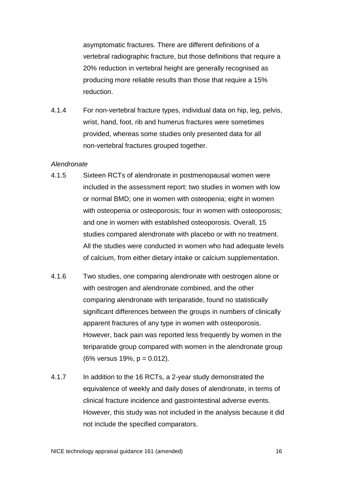asymptomatic fractures. There are different definitions of a vertebral radiographic fracture, but those definitions that require a 20% reduction in vertebral height are generally recognised as producing more reliable results than those that require a 15% reduction.

4.1.4 For non-vertebral fracture types, individual data on hip, leg, pelvis, wrist, hand, foot, rib and humerus fractures were sometimes provided, whereas some studies only presented data for all non-vertebral fractures grouped together.

#### *Alendronate*

- 4.1.5 Sixteen RCTs of alendronate in postmenopausal women were included in the assessment report: two studies in women with low or normal BMD; one in women with osteopenia; eight in women with osteopenia or osteoporosis; four in women with osteoporosis; and one in women with established osteoporosis. Overall, 15 studies compared alendronate with placebo or with no treatment. All the studies were conducted in women who had adequate levels of calcium, from either dietary intake or calcium supplementation.
- 4.1.6 Two studies, one comparing alendronate with oestrogen alone or with oestrogen and alendronate combined, and the other comparing alendronate with teriparatide, found no statistically significant differences between the groups in numbers of clinically apparent fractures of any type in women with osteoporosis. However, back pain was reported less frequently by women in the teriparatide group compared with women in the alendronate group (6% versus 19%, p = 0.012).
- 4.1.7 In addition to the 16 RCTs, a 2-year study demonstrated the equivalence of weekly and daily doses of alendronate, in terms of clinical fracture incidence and gastrointestinal adverse events. However, this study was not included in the analysis because it did not include the specified comparators.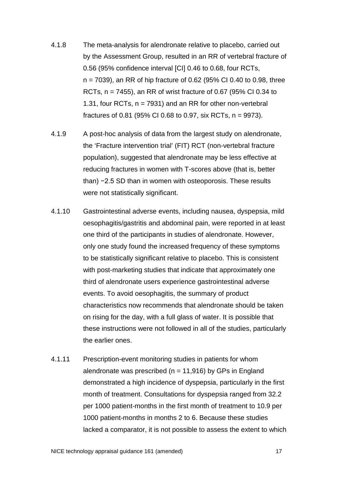- 4.1.8 The meta-analysis for alendronate relative to placebo, carried out by the Assessment Group, resulted in an RR of vertebral fracture of 0.56 (95% confidence interval [CI] 0.46 to 0.68, four RCTs, n = 7039), an RR of hip fracture of 0.62 (95% CI 0.40 to 0.98, three RCTs, n = 7455), an RR of wrist fracture of 0.67 (95% CI 0.34 to 1.31, four RCTs, n = 7931) and an RR for other non-vertebral fractures of 0.81 (95% CI 0.68 to 0.97, six RCTs,  $n = 9973$ ).
- 4.1.9 A post-hoc analysis of data from the largest study on alendronate, the 'Fracture intervention trial' (FIT) RCT (non-vertebral fracture population), suggested that alendronate may be less effective at reducing fractures in women with T-scores above (that is, better than) −2.5 SD than in women with osteoporosis. These results were not statistically significant.
- 4.1.10 Gastrointestinal adverse events, including nausea, dyspepsia, mild oesophagitis/gastritis and abdominal pain, were reported in at least one third of the participants in studies of alendronate. However, only one study found the increased frequency of these symptoms to be statistically significant relative to placebo. This is consistent with post-marketing studies that indicate that approximately one third of alendronate users experience gastrointestinal adverse events. To avoid oesophagitis, the summary of product characteristics now recommends that alendronate should be taken on rising for the day, with a full glass of water. It is possible that these instructions were not followed in all of the studies, particularly the earlier ones.
- 4.1.11 Prescription-event monitoring studies in patients for whom alendronate was prescribed ( $n = 11,916$ ) by GPs in England demonstrated a high incidence of dyspepsia, particularly in the first month of treatment. Consultations for dyspepsia ranged from 32.2 per 1000 patient-months in the first month of treatment to 10.9 per 1000 patient-months in months 2 to 6. Because these studies lacked a comparator, it is not possible to assess the extent to which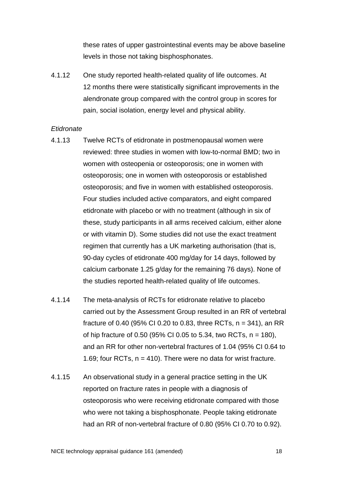these rates of upper gastrointestinal events may be above baseline levels in those not taking bisphosphonates.

4.1.12 One study reported health-related quality of life outcomes. At 12 months there were statistically significant improvements in the alendronate group compared with the control group in scores for pain, social isolation, energy level and physical ability.

#### *Etidronate*

- 4.1.13 Twelve RCTs of etidronate in postmenopausal women were reviewed: three studies in women with low-to-normal BMD; two in women with osteopenia or osteoporosis; one in women with osteoporosis; one in women with osteoporosis or established osteoporosis; and five in women with established osteoporosis. Four studies included active comparators, and eight compared etidronate with placebo or with no treatment (although in six of these, study participants in all arms received calcium, either alone or with vitamin D). Some studies did not use the exact treatment regimen that currently has a UK marketing authorisation (that is, 90-day cycles of etidronate 400 mg/day for 14 days, followed by calcium carbonate 1.25 g/day for the remaining 76 days). None of the studies reported health-related quality of life outcomes.
- 4.1.14 The meta-analysis of RCTs for etidronate relative to placebo carried out by the Assessment Group resulted in an RR of vertebral fracture of 0.40 (95% CI 0.20 to 0.83, three RCTs,  $n = 341$ ), an RR of hip fracture of 0.50 (95% CI 0.05 to 5.34, two RCTs,  $n = 180$ ), and an RR for other non-vertebral fractures of 1.04 (95% CI 0.64 to 1.69; four RCTs,  $n = 410$ ). There were no data for wrist fracture.
- 4.1.15 An observational study in a general practice setting in the UK reported on fracture rates in people with a diagnosis of osteoporosis who were receiving etidronate compared with those who were not taking a bisphosphonate. People taking etidronate had an RR of non-vertebral fracture of 0.80 (95% CI 0.70 to 0.92).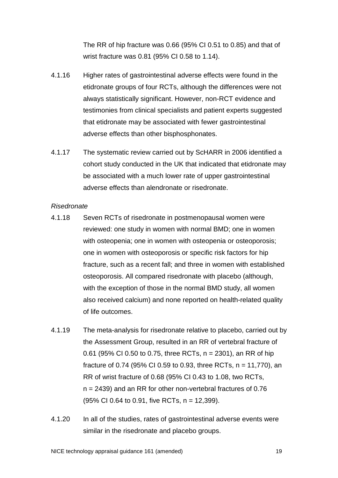The RR of hip fracture was 0.66 (95% CI 0.51 to 0.85) and that of wrist fracture was 0.81 (95% CI 0.58 to 1.14).

- 4.1.16 Higher rates of gastrointestinal adverse effects were found in the etidronate groups of four RCTs, although the differences were not always statistically significant. However, non-RCT evidence and testimonies from clinical specialists and patient experts suggested that etidronate may be associated with fewer gastrointestinal adverse effects than other bisphosphonates.
- 4.1.17 The systematic review carried out by ScHARR in 2006 identified a cohort study conducted in the UK that indicated that etidronate may be associated with a much lower rate of upper gastrointestinal adverse effects than alendronate or risedronate.

#### *Risedronate*

- 4.1.18 Seven RCTs of risedronate in postmenopausal women were reviewed: one study in women with normal BMD; one in women with osteopenia; one in women with osteopenia or osteoporosis; one in women with osteoporosis or specific risk factors for hip fracture, such as a recent fall; and three in women with established osteoporosis. All compared risedronate with placebo (although, with the exception of those in the normal BMD study, all women also received calcium) and none reported on health-related quality of life outcomes.
- 4.1.19 The meta-analysis for risedronate relative to placebo, carried out by the Assessment Group, resulted in an RR of vertebral fracture of 0.61 (95% CI 0.50 to 0.75, three RCTs, n = 2301), an RR of hip fracture of 0.74 (95% CI 0.59 to 0.93, three RCTs, n = 11,770), an RR of wrist fracture of 0.68 (95% CI 0.43 to 1.08, two RCTs, n = 2439) and an RR for other non-vertebral fractures of 0.76 (95% CI 0.64 to 0.91, five RCTs, n = 12,399).
- 4.1.20 In all of the studies, rates of gastrointestinal adverse events were similar in the risedronate and placebo groups.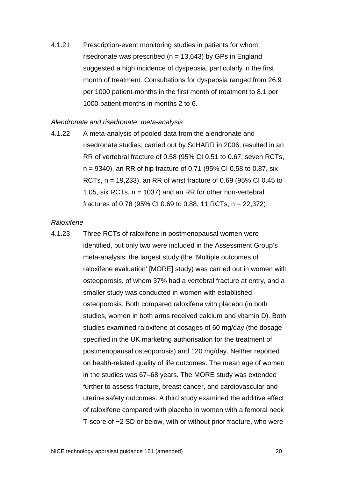4.1.21 Prescription-event monitoring studies in patients for whom risedronate was prescribed ( $n = 13,643$ ) by GPs in England suggested a high incidence of dyspepsia, particularly in the first month of treatment. Consultations for dyspepsia ranged from 26.9 per 1000 patient-months in the first month of treatment to 8.1 per 1000 patient-months in months 2 to 6.

#### *Alendronate and risedronate: meta-analysis*

4.1.22 A meta-analysis of pooled data from the alendronate and risedronate studies, carried out by ScHARR in 2006, resulted in an RR of vertebral fracture of 0.58 (95% CI 0.51 to 0.67, seven RCTs, n = 9340), an RR of hip fracture of 0.71 (95% CI 0.58 to 0.87, six RCTs, n = 19,233), an RR of wrist fracture of 0.69 (95% CI 0.45 to 1.05, six RCTs,  $n = 1037$  and an RR for other non-vertebral fractures of 0.78 (95% CI 0.69 to 0.88, 11 RCTs, n = 22,372).

# *Raloxifene*

4.1.23 Three RCTs of raloxifene in postmenopausal women were identified, but only two were included in the Assessment Group's meta-analysis: the largest study (the 'Multiple outcomes of raloxifene evaluation' [MORE] study) was carried out in women with osteoporosis, of whom 37% had a vertebral fracture at entry, and a smaller study was conducted in women with established osteoporosis. Both compared raloxifene with placebo (in both studies, women in both arms received calcium and vitamin D). Both studies examined raloxifene at dosages of 60 mg/day (the dosage specified in the UK marketing authorisation for the treatment of postmenopausal osteoporosis) and 120 mg/day. Neither reported on health-related quality of life outcomes. The mean age of women in the studies was 67–68 years. The MORE study was extended further to assess fracture, breast cancer, and cardiovascular and uterine safety outcomes. A third study examined the additive effect of raloxifene compared with placebo in women with a femoral neck T-score of −2 SD or below, with or without prior fracture, who were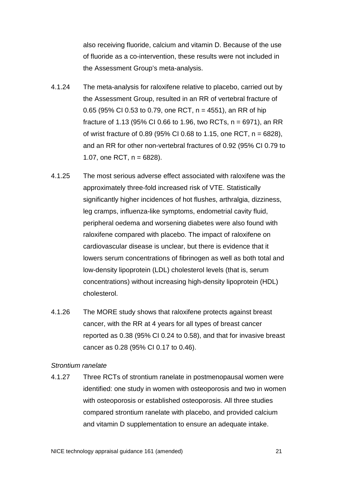also receiving fluoride, calcium and vitamin D. Because of the use of fluoride as a co-intervention, these results were not included in the Assessment Group's meta-analysis.

- 4.1.24 The meta-analysis for raloxifene relative to placebo, carried out by the Assessment Group, resulted in an RR of vertebral fracture of 0.65 (95% CI 0.53 to 0.79, one RCT, n = 4551), an RR of hip fracture of 1.13 (95% CI 0.66 to 1.96, two RCTs, n = 6971), an RR of wrist fracture of 0.89 (95% CI 0.68 to 1.15, one RCT,  $n = 6828$ ), and an RR for other non-vertebral fractures of 0.92 (95% CI 0.79 to 1.07, one RCT,  $n = 6828$ ).
- 4.1.25 The most serious adverse effect associated with raloxifene was the approximately three-fold increased risk of VTE. Statistically significantly higher incidences of hot flushes, arthralgia, dizziness, leg cramps, influenza-like symptoms, endometrial cavity fluid, peripheral oedema and worsening diabetes were also found with raloxifene compared with placebo. The impact of raloxifene on cardiovascular disease is unclear, but there is evidence that it lowers serum concentrations of fibrinogen as well as both total and low-density lipoprotein (LDL) cholesterol levels (that is, serum concentrations) without increasing high-density lipoprotein (HDL) cholesterol.
- 4.1.26 The MORE study shows that raloxifene protects against breast cancer, with the RR at 4 years for all types of breast cancer reported as 0.38 (95% CI 0.24 to 0.58), and that for invasive breast cancer as 0.28 (95% CI 0.17 to 0.46).

#### *Strontium ranelate*

4.1.27 Three RCTs of strontium ranelate in postmenopausal women were identified: one study in women with osteoporosis and two in women with osteoporosis or established osteoporosis. All three studies compared strontium ranelate with placebo, and provided calcium and vitamin D supplementation to ensure an adequate intake.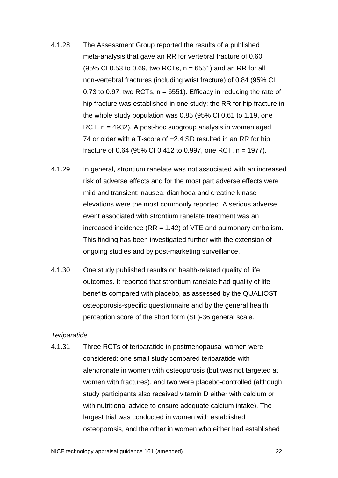- <span id="page-21-0"></span>4.1.28 The Assessment Group reported the results of a published meta-analysis that gave an RR for vertebral fracture of 0.60  $(95\% \text{ CI } 0.53 \text{ to } 0.69, \text{ two RCTs}, n = 6551)$  and an RR for all non-vertebral fractures (including wrist fracture) of 0.84 (95% CI 0.73 to 0.97, two RCTs,  $n = 6551$ ). Efficacy in reducing the rate of hip fracture was established in one study; the RR for hip fracture in the whole study population was 0.85 (95% CI 0.61 to 1.19, one RCT, n = 4932). A post-hoc subgroup analysis in women aged 74 or older with a T-score of −2.4 SD resulted in an RR for hip fracture of 0.64 (95% CI 0.412 to 0.997, one RCT,  $n = 1977$ ).
- 4.1.29 In general, strontium ranelate was not associated with an increased risk of adverse effects and for the most part adverse effects were mild and transient; nausea, diarrhoea and creatine kinase elevations were the most commonly reported. A serious adverse event associated with strontium ranelate treatment was an increased incidence  $(RR = 1.42)$  of VTE and pulmonary embolism. This finding has been investigated further with the extension of ongoing studies and by post-marketing surveillance.
- 4.1.30 One study published results on health-related quality of life outcomes. It reported that strontium ranelate had quality of life benefits compared with placebo, as assessed by the QUALIOST osteoporosis-specific questionnaire and by the general health perception score of the short form (SF)-36 general scale.

#### *Teriparatide*

4.1.31 Three RCTs of teriparatide in postmenopausal women were considered: one small study compared teriparatide with alendronate in women with osteoporosis (but was not targeted at women with fractures), and two were placebo-controlled (although study participants also received vitamin D either with calcium or with nutritional advice to ensure adequate calcium intake). The largest trial was conducted in women with established osteoporosis, and the other in women who either had established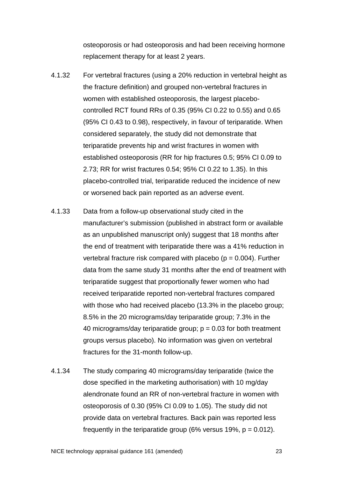osteoporosis or had osteoporosis and had been receiving hormone replacement therapy for at least 2 years.

- 4.1.32 For vertebral fractures (using a 20% reduction in vertebral height as the fracture definition) and grouped non-vertebral fractures in women with established osteoporosis, the largest placebocontrolled RCT found RRs of 0.35 (95% CI 0.22 to 0.55) and 0.65 (95% CI 0.43 to 0.98), respectively, in favour of teriparatide. When considered separately, the study did not demonstrate that teriparatide prevents hip and wrist fractures in women with established osteoporosis (RR for hip fractures 0.5; 95% CI 0.09 to 2.73; RR for wrist fractures 0.54; 95% CI 0.22 to 1.35). In this placebo-controlled trial, teriparatide reduced the incidence of new or worsened back pain reported as an adverse event.
- 4.1.33 Data from a follow-up observational study cited in the manufacturer's submission (published in abstract form or available as an unpublished manuscript only) suggest that 18 months after the end of treatment with teriparatide there was a 41% reduction in vertebral fracture risk compared with placebo ( $p = 0.004$ ). Further data from the same study 31 months after the end of treatment with teriparatide suggest that proportionally fewer women who had received teriparatide reported non-vertebral fractures compared with those who had received placebo (13.3% in the placebo group; 8.5% in the 20 micrograms/day teriparatide group; 7.3% in the 40 micrograms/day teriparatide group;  $p = 0.03$  for both treatment groups versus placebo). No information was given on vertebral fractures for the 31-month follow-up.
- 4.1.34 The study comparing 40 micrograms/day teriparatide (twice the dose specified in the marketing authorisation) with 10 mg/day alendronate found an RR of non-vertebral fracture in women with osteoporosis of 0.30 (95% CI 0.09 to 1.05). The study did not provide data on vertebral fractures. Back pain was reported less frequently in the teriparatide group (6% versus 19%,  $p = 0.012$ ).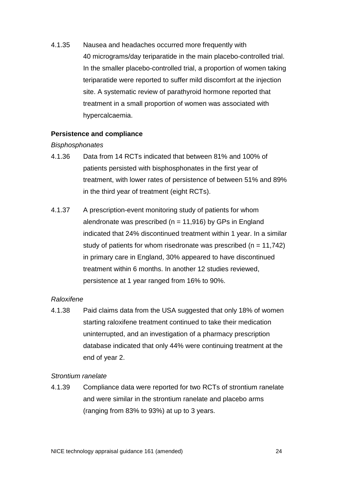4.1.35 Nausea and headaches occurred more frequently with 40 micrograms/day teriparatide in the main placebo-controlled trial. In the smaller placebo-controlled trial, a proportion of women taking teriparatide were reported to suffer mild discomfort at the injection site. A systematic review of parathyroid hormone reported that treatment in a small proportion of women was associated with hypercalcaemia.

## **Persistence and compliance**

#### *Bisphosphonates*

- 4.1.36 Data from 14 RCTs indicated that between 81% and 100% of patients persisted with bisphosphonates in the first year of treatment, with lower rates of persistence of between 51% and 89% in the third year of treatment (eight RCTs).
- 4.1.37 A prescription-event monitoring study of patients for whom alendronate was prescribed ( $n = 11,916$ ) by GPs in England indicated that 24% discontinued treatment within 1 year. In a similar study of patients for whom risedronate was prescribed ( $n = 11,742$ ) in primary care in England, 30% appeared to have discontinued treatment within 6 months. In another 12 studies reviewed, persistence at 1 year ranged from 16% to 90%.

## *Raloxifene*

4.1.38 Paid claims data from the USA suggested that only 18% of women starting raloxifene treatment continued to take their medication uninterrupted, and an investigation of a pharmacy prescription database indicated that only 44% were continuing treatment at the end of year 2.

#### *Strontium ranelate*

4.1.39 Compliance data were reported for two RCTs of strontium ranelate and were similar in the strontium ranelate and placebo arms (ranging from 83% to 93%) at up to 3 years.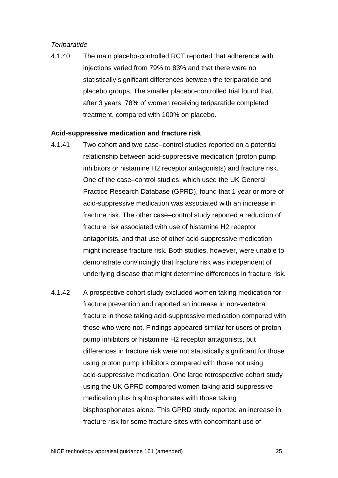# *Teriparatide*

4.1.40 The main placebo-controlled RCT reported that adherence with injections varied from 79% to 83% and that there were no statistically significant differences between the teriparatide and placebo groups. The smaller placebo-controlled trial found that, after 3 years, 78% of women receiving teriparatide completed treatment, compared with 100% on placebo.

#### **Acid-suppressive medication and fracture risk**

- 4.1.41 Two cohort and two case–control studies reported on a potential relationship between acid-suppressive medication (proton pump inhibitors or histamine H2 receptor antagonists) and fracture risk. One of the case–control studies, which used the UK General Practice Research Database (GPRD), found that 1 year or more of acid-suppressive medication was associated with an increase in fracture risk. The other case–control study reported a reduction of fracture risk associated with use of histamine H2 receptor antagonists, and that use of other acid-suppressive medication might increase fracture risk. Both studies, however, were unable to demonstrate convincingly that fracture risk was independent of underlying disease that might determine differences in fracture risk.
- 4.1.42 A prospective cohort study excluded women taking medication for fracture prevention and reported an increase in non-vertebral fracture in those taking acid-suppressive medication compared with those who were not. Findings appeared similar for users of proton pump inhibitors or histamine H2 receptor antagonists, but differences in fracture risk were not statistically significant for those using proton pump inhibitors compared with those not using acid-suppressive medication. One large retrospective cohort study using the UK GPRD compared women taking acid-suppressive medication plus bisphosphonates with those taking bisphosphonates alone. This GPRD study reported an increase in fracture risk for some fracture sites with concomitant use of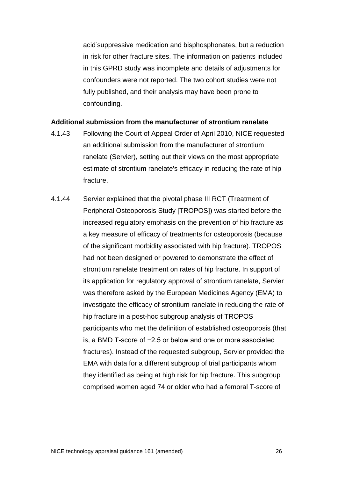acid-suppressive medication and bisphosphonates, but a reduction in risk for other fracture sites. The information on patients included in this GPRD study was incomplete and details of adjustments for confounders were not reported. The two cohort studies were not fully published, and their analysis may have been prone to confounding.

#### **Additional submission from the manufacturer of strontium ranelate**

- 4.1.43 Following the Court of Appeal Order of April 2010, NICE requested an additional submission from the manufacturer of strontium ranelate (Servier), setting out their views on the most appropriate estimate of strontium ranelate's efficacy in reducing the rate of hip fracture.
- <span id="page-25-0"></span>4.1.44 Servier explained that the pivotal phase III RCT (Treatment of Peripheral Osteoporosis Study [TROPOS]) was started before the increased regulatory emphasis on the prevention of hip fracture as a key measure of efficacy of treatments for osteoporosis (because of the significant morbidity associated with hip fracture). TROPOS had not been designed or powered to demonstrate the effect of strontium ranelate treatment on rates of hip fracture. In support of its application for regulatory approval of strontium ranelate, Servier was therefore asked by the European Medicines Agency (EMA) to investigate the efficacy of strontium ranelate in reducing the rate of hip fracture in a post-hoc subgroup analysis of TROPOS participants who met the definition of established osteoporosis (that is, a BMD T-score of −2.5 or below and one or more associated fractures). Instead of the requested subgroup, Servier provided the EMA with data for a different subgroup of trial participants whom they identified as being at high risk for hip fracture. This subgroup comprised women aged 74 or older who had a femoral T-score of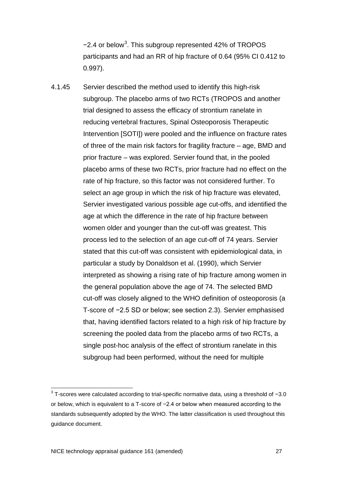−2.4 or below<sup>[3](#page-26-0)</sup>. This subgroup represented 42% of TROPOS participants and had an RR of hip fracture of 0.64 (95% CI 0.412 to 0.997).

<span id="page-26-1"></span>4.1.45 Servier described the method used to identify this high-risk subgroup. The placebo arms of two RCTs (TROPOS and another trial designed to assess the efficacy of strontium ranelate in reducing vertebral fractures, Spinal Osteoporosis Therapeutic Intervention [SOTI]) were pooled and the influence on fracture rates of three of the main risk factors for fragility fracture – age, BMD and prior fracture – was explored. Servier found that, in the pooled placebo arms of these two RCTs, prior fracture had no effect on the rate of hip fracture, so this factor was not considered further. To select an age group in which the risk of hip fracture was elevated, Servier investigated various possible age cut-offs, and identified the age at which the difference in the rate of hip fracture between women older and younger than the cut-off was greatest. This process led to the selection of an age cut-off of 74 years. Servier stated that this cut-off was consistent with epidemiological data, in particular a study by Donaldson et al. (1990), which Servier interpreted as showing a rising rate of hip fracture among women in the general population above the age of 74. The selected BMD cut-off was closely aligned to the WHO definition of osteoporosis (a T-score of −2.5 SD or below; see section [2.3\)](#page-7-0). Servier emphasised that, having identified factors related to a high risk of hip fracture by screening the pooled data from the placebo arms of two RCTs, a single post-hoc analysis of the effect of strontium ranelate in this subgroup had been performed, without the need for multiple

<span id="page-26-0"></span><sup>3</sup> T-scores were calculated according to trial-specific normative data, using a threshold of −3.0 or below, which is equivalent to a T-score of −2.4 or below when measured according to the standards subsequently adopted by the WHO. The latter classification is used throughout this guidance document.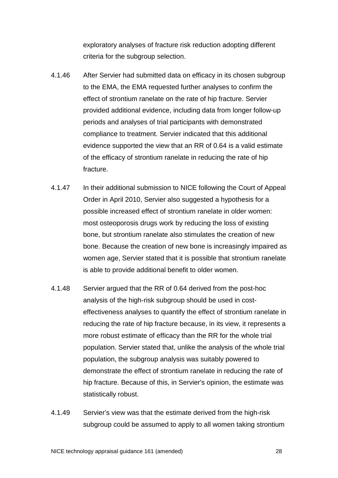exploratory analyses of fracture risk reduction adopting different criteria for the subgroup selection.

- 4.1.46 After Servier had submitted data on efficacy in its chosen subgroup to the EMA, the EMA requested further analyses to confirm the effect of strontium ranelate on the rate of hip fracture. Servier provided additional evidence, including data from longer follow-up periods and analyses of trial participants with demonstrated compliance to treatment. Servier indicated that this additional evidence supported the view that an RR of 0.64 is a valid estimate of the efficacy of strontium ranelate in reducing the rate of hip fracture.
- 4.1.47 In their additional submission to NICE following the Court of Appeal Order in April 2010, Servier also suggested a hypothesis for a possible increased effect of strontium ranelate in older women: most osteoporosis drugs work by reducing the loss of existing bone, but strontium ranelate also stimulates the creation of new bone. Because the creation of new bone is increasingly impaired as women age, Servier stated that it is possible that strontium ranelate is able to provide additional benefit to older women.
- 4.1.48 Servier argued that the RR of 0.64 derived from the post-hoc analysis of the high-risk subgroup should be used in costeffectiveness analyses to quantify the effect of strontium ranelate in reducing the rate of hip fracture because, in its view, it represents a more robust estimate of efficacy than the RR for the whole trial population. Servier stated that, unlike the analysis of the whole trial population, the subgroup analysis was suitably powered to demonstrate the effect of strontium ranelate in reducing the rate of hip fracture. Because of this, in Servier's opinion, the estimate was statistically robust.
- <span id="page-27-0"></span>4.1.49 Servier's view was that the estimate derived from the high-risk subgroup could be assumed to apply to all women taking strontium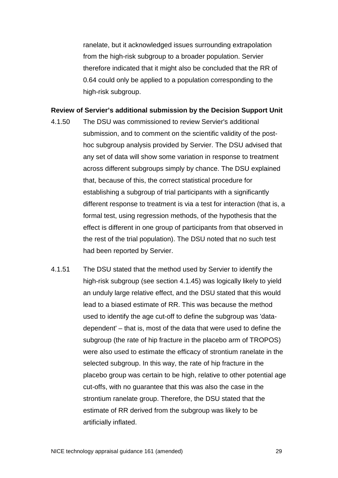ranelate, but it acknowledged issues surrounding extrapolation from the high-risk subgroup to a broader population. Servier therefore indicated that it might also be concluded that the RR of 0.64 could only be applied to a population corresponding to the high-risk subgroup.

#### **Review of Servier's additional submission by the Decision Support Unit**

- 4.1.50 The DSU was commissioned to review Servier's additional submission, and to comment on the scientific validity of the posthoc subgroup analysis provided by Servier. The DSU advised that any set of data will show some variation in response to treatment across different subgroups simply by chance. The DSU explained that, because of this, the correct statistical procedure for establishing a subgroup of trial participants with a significantly different response to treatment is via a test for interaction (that is, a formal test, using regression methods, of the hypothesis that the effect is different in one group of participants from that observed in the rest of the trial population). The DSU noted that no such test had been reported by Servier.
- <span id="page-28-0"></span>4.1.51 The DSU stated that the method used by Servier to identify the high-risk subgroup (see section [4.1.45\)](#page-26-1) was logically likely to yield an unduly large relative effect, and the DSU stated that this would lead to a biased estimate of RR. This was because the method used to identify the age cut-off to define the subgroup was 'datadependent' – that is, most of the data that were used to define the subgroup (the rate of hip fracture in the placebo arm of TROPOS) were also used to estimate the efficacy of strontium ranelate in the selected subgroup. In this way, the rate of hip fracture in the placebo group was certain to be high, relative to other potential age cut-offs, with no guarantee that this was also the case in the strontium ranelate group. Therefore, the DSU stated that the estimate of RR derived from the subgroup was likely to be artificially inflated.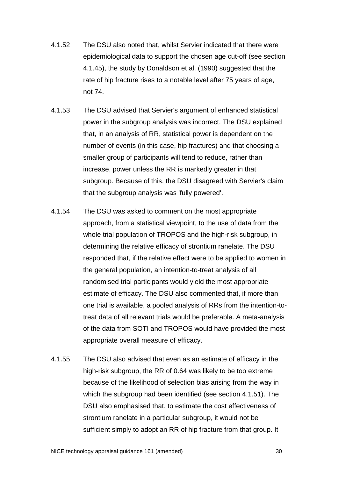- 4.1.52 The DSU also noted that, whilst Servier indicated that there were epidemiological data to support the chosen age cut-off (see section [4.1.45\)](#page-26-1), the study by Donaldson et al. (1990) suggested that the rate of hip fracture rises to a notable level after 75 years of age, not 74.
- 4.1.53 The DSU advised that Servier's argument of enhanced statistical power in the subgroup analysis was incorrect. The DSU explained that, in an analysis of RR, statistical power is dependent on the number of events (in this case, hip fractures) and that choosing a smaller group of participants will tend to reduce, rather than increase, power unless the RR is markedly greater in that subgroup. Because of this, the DSU disagreed with Servier's claim that the subgroup analysis was 'fully powered'.
- 4.1.54 The DSU was asked to comment on the most appropriate approach, from a statistical viewpoint, to the use of data from the whole trial population of TROPOS and the high-risk subgroup, in determining the relative efficacy of strontium ranelate. The DSU responded that, if the relative effect were to be applied to women in the general population, an intention-to-treat analysis of all randomised trial participants would yield the most appropriate estimate of efficacy. The DSU also commented that, if more than one trial is available, a pooled analysis of RRs from the intention-totreat data of all relevant trials would be preferable. A meta-analysis of the data from SOTI and TROPOS would have provided the most appropriate overall measure of efficacy.
- 4.1.55 The DSU also advised that even as an estimate of efficacy in the high-risk subgroup, the RR of 0.64 was likely to be too extreme because of the likelihood of selection bias arising from the way in which the subgroup had been identified (see section [4.1.51\)](#page-28-0). The DSU also emphasised that, to estimate the cost effectiveness of strontium ranelate in a particular subgroup, it would not be sufficient simply to adopt an RR of hip fracture from that group. It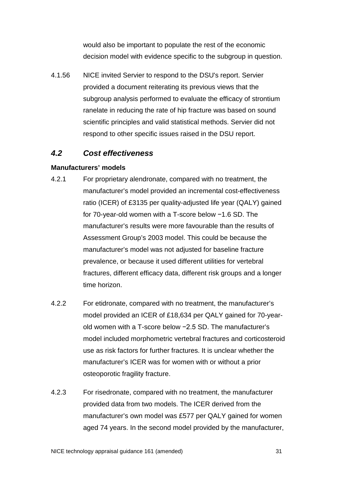would also be important to populate the rest of the economic decision model with evidence specific to the subgroup in question.

4.1.56 NICE invited Servier to respond to the DSU's report. Servier provided a document reiterating its previous views that the subgroup analysis performed to evaluate the efficacy of strontium ranelate in reducing the rate of hip fracture was based on sound scientific principles and valid statistical methods. Servier did not respond to other specific issues raised in the DSU report.

# *4.2 Cost effectiveness*

# **Manufacturers' models**

- 4.2.1 For proprietary alendronate, compared with no treatment, the manufacturer's model provided an incremental cost-effectiveness ratio (ICER) of £3135 per quality-adjusted life year (QALY) gained for 70-year-old women with a T-score below −1.6 SD. The manufacturer's results were more favourable than the results of Assessment Group's 2003 model. This could be because the manufacturer's model was not adjusted for baseline fracture prevalence, or because it used different utilities for vertebral fractures, different efficacy data, different risk groups and a longer time horizon.
- 4.2.2 For etidronate, compared with no treatment, the manufacturer's model provided an ICER of £18,634 per QALY gained for 70-yearold women with a T-score below −2.5 SD. The manufacturer's model included morphometric vertebral fractures and corticosteroid use as risk factors for further fractures. It is unclear whether the manufacturer's ICER was for women with or without a prior osteoporotic fragility fracture.
- 4.2.3 For risedronate, compared with no treatment, the manufacturer provided data from two models. The ICER derived from the manufacturer's own model was £577 per QALY gained for women aged 74 years. In the second model provided by the manufacturer,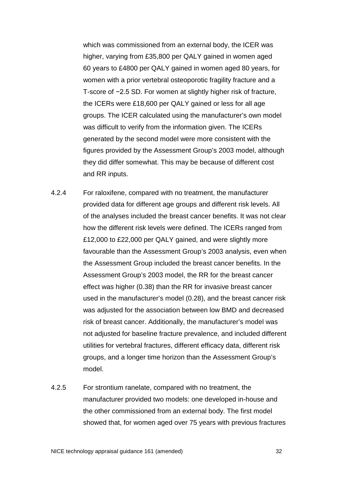which was commissioned from an external body, the ICER was higher, varying from £35,800 per QALY gained in women aged 60 years to £4800 per QALY gained in women aged 80 years, for women with a prior vertebral osteoporotic fragility fracture and a T-score of −2.5 SD. For women at slightly higher risk of fracture, the ICERs were £18,600 per QALY gained or less for all age groups. The ICER calculated using the manufacturer's own model was difficult to verify from the information given. The ICERs generated by the second model were more consistent with the figures provided by the Assessment Group's 2003 model, although they did differ somewhat. This may be because of different cost and RR inputs.

- 4.2.4 For raloxifene, compared with no treatment, the manufacturer provided data for different age groups and different risk levels. All of the analyses included the breast cancer benefits. It was not clear how the different risk levels were defined. The ICERs ranged from £12,000 to £22,000 per QALY gained, and were slightly more favourable than the Assessment Group's 2003 analysis, even when the Assessment Group included the breast cancer benefits. In the Assessment Group's 2003 model, the RR for the breast cancer effect was higher (0.38) than the RR for invasive breast cancer used in the manufacturer's model (0.28), and the breast cancer risk was adjusted for the association between low BMD and decreased risk of breast cancer. Additionally, the manufacturer's model was not adjusted for baseline fracture prevalence, and included different utilities for vertebral fractures, different efficacy data, different risk groups, and a longer time horizon than the Assessment Group's model.
- 4.2.5 For strontium ranelate, compared with no treatment, the manufacturer provided two models: one developed in-house and the other commissioned from an external body. The first model showed that, for women aged over 75 years with previous fractures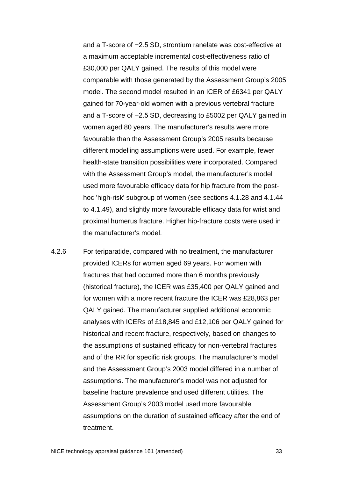and a T-score of −2.5 SD, strontium ranelate was cost-effective at a maximum acceptable incremental cost-effectiveness ratio of £30,000 per QALY gained. The results of this model were comparable with those generated by the Assessment Group's 2005 model. The second model resulted in an ICER of £6341 per QALY gained for 70-year-old women with a previous vertebral fracture and a T-score of −2.5 SD, decreasing to £5002 per QALY gained in women aged 80 years. The manufacturer's results were more favourable than the Assessment Group's 2005 results because different modelling assumptions were used. For example, fewer health-state transition possibilities were incorporated. Compared with the Assessment Group's model, the manufacturer's model used more favourable efficacy data for hip fracture from the posthoc 'high-risk' subgroup of women (see sections [4.1.28](#page-21-0) and [4.1.44](#page-25-0) to [4.1.49\)](#page-27-0), and slightly more favourable efficacy data for wrist and proximal humerus fracture. Higher hip-fracture costs were used in the manufacturer's model.

4.2.6 For teriparatide, compared with no treatment, the manufacturer provided ICERs for women aged 69 years. For women with fractures that had occurred more than 6 months previously (historical fracture), the ICER was £35,400 per QALY gained and for women with a more recent fracture the ICER was £28,863 per QALY gained. The manufacturer supplied additional economic analyses with ICERs of £18,845 and £12,106 per QALY gained for historical and recent fracture, respectively, based on changes to the assumptions of sustained efficacy for non-vertebral fractures and of the RR for specific risk groups. The manufacturer's model and the Assessment Group's 2003 model differed in a number of assumptions. The manufacturer's model was not adjusted for baseline fracture prevalence and used different utilities. The Assessment Group's 2003 model used more favourable assumptions on the duration of sustained efficacy after the end of treatment.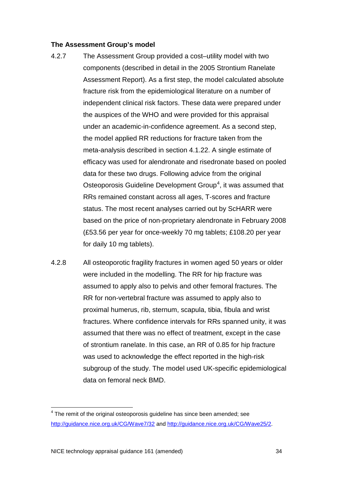#### **The Assessment Group's model**

- <span id="page-33-1"></span>4.2.7 The Assessment Group provided a cost–utility model with two components (described in detail in the 2005 Strontium Ranelate Assessment Report). As a first step, the model calculated absolute fracture risk from the epidemiological literature on a number of independent clinical risk factors. These data were prepared under the auspices of the WHO and were provided for this appraisal under an academic-in-confidence agreement. As a second step, the model applied RR reductions for fracture taken from the meta-analysis described in section 4.1.22. A single estimate of efficacy was used for alendronate and risedronate based on pooled data for these two drugs. Following advice from the original Osteoporosis Guideline Development Group<sup>[4](#page-33-0)</sup>, it was assumed that RRs remained constant across all ages, T-scores and fracture status. The most recent analyses carried out by ScHARR were based on the price of non-proprietary alendronate in February 2008 (£53.56 per year for once-weekly 70 mg tablets; £108.20 per year for daily 10 mg tablets).
- 4.2.8 All osteoporotic fragility fractures in women aged 50 years or older were included in the modelling. The RR for hip fracture was assumed to apply also to pelvis and other femoral fractures. The RR for non-vertebral fracture was assumed to apply also to proximal humerus, rib, sternum, scapula, tibia, fibula and wrist fractures. Where confidence intervals for RRs spanned unity, it was assumed that there was no effect of treatment, except in the case of strontium ranelate. In this case, an RR of 0.85 for hip fracture was used to acknowledge the effect reported in the high-risk subgroup of the study. The model used UK-specific epidemiological data on femoral neck BMD.

<span id="page-33-0"></span> $4$  The remit of the original osteoporosis guideline has since been amended; see <http://guidance.nice.org.uk/CG/Wave7/32> and [http://guidance.nice.org.uk/CG/Wave25/2.](http://guidance.nice.org.uk/CG/Wave25/2)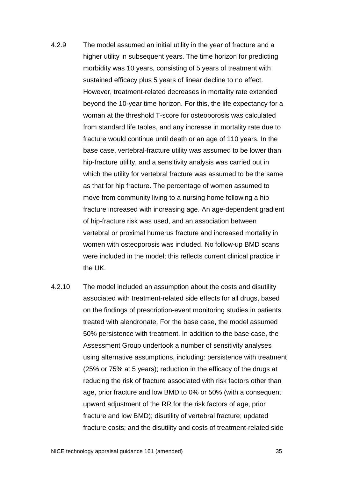- 4.2.9 The model assumed an initial utility in the year of fracture and a higher utility in subsequent years. The time horizon for predicting morbidity was 10 years, consisting of 5 years of treatment with sustained efficacy plus 5 years of linear decline to no effect. However, treatment-related decreases in mortality rate extended beyond the 10-year time horizon. For this, the life expectancy for a woman at the threshold T-score for osteoporosis was calculated from standard life tables, and any increase in mortality rate due to fracture would continue until death or an age of 110 years. In the base case, vertebral-fracture utility was assumed to be lower than hip-fracture utility, and a sensitivity analysis was carried out in which the utility for vertebral fracture was assumed to be the same as that for hip fracture. The percentage of women assumed to move from community living to a nursing home following a hip fracture increased with increasing age. An age-dependent gradient of hip-fracture risk was used, and an association between vertebral or proximal humerus fracture and increased mortality in women with osteoporosis was included. No follow-up BMD scans were included in the model; this reflects current clinical practice in the UK.
- 4.2.10 The model included an assumption about the costs and disutility associated with treatment-related side effects for all drugs, based on the findings of prescription-event monitoring studies in patients treated with alendronate. For the base case, the model assumed 50% persistence with treatment. In addition to the base case, the Assessment Group undertook a number of sensitivity analyses using alternative assumptions, including: persistence with treatment (25% or 75% at 5 years); reduction in the efficacy of the drugs at reducing the risk of fracture associated with risk factors other than age, prior fracture and low BMD to 0% or 50% (with a consequent upward adjustment of the RR for the risk factors of age, prior fracture and low BMD); disutility of vertebral fracture; updated fracture costs; and the disutility and costs of treatment-related side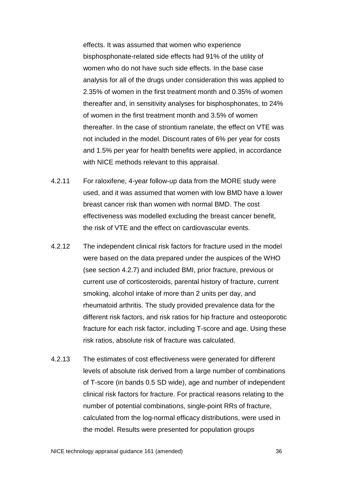effects. It was assumed that women who experience bisphosphonate-related side effects had 91% of the utility of women who do not have such side effects. In the base case analysis for all of the drugs under consideration this was applied to 2.35% of women in the first treatment month and 0.35% of women thereafter and, in sensitivity analyses for bisphosphonates, to 24% of women in the first treatment month and 3.5% of women thereafter. In the case of strontium ranelate, the effect on VTE was not included in the model. Discount rates of 6% per year for costs and 1.5% per year for health benefits were applied, in accordance with NICE methods relevant to this appraisal.

- 4.2.11 For raloxifene, 4-year follow-up data from the MORE study were used, and it was assumed that women with low BMD have a lower breast cancer risk than women with normal BMD. The cost effectiveness was modelled excluding the breast cancer benefit, the risk of VTE and the effect on cardiovascular events.
- 4.2.12 The independent clinical risk factors for fracture used in the model were based on the data prepared under the auspices of the WHO (see section [4.2.7\)](#page-33-1) and included BMI, prior fracture, previous or current use of corticosteroids, parental history of fracture, current smoking, alcohol intake of more than 2 units per day, and rheumatoid arthritis. The study provided prevalence data for the different risk factors, and risk ratios for hip fracture and osteoporotic fracture for each risk factor, including T-score and age. Using these risk ratios, absolute risk of fracture was calculated.
- 4.2.13 The estimates of cost effectiveness were generated for different levels of absolute risk derived from a large number of combinations of T-score (in bands 0.5 SD wide), age and number of independent clinical risk factors for fracture. For practical reasons relating to the number of potential combinations, single-point RRs of fracture, calculated from the log-normal efficacy distributions, were used in the model. Results were presented for population groups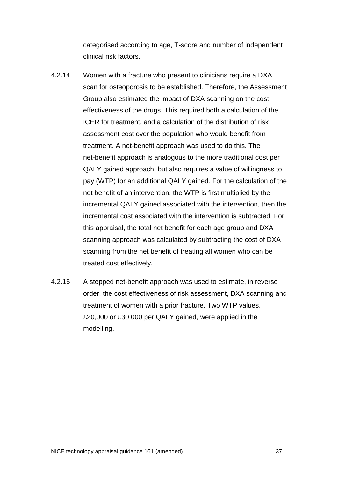categorised according to age, T-score and number of independent clinical risk factors.

- 4.2.14 Women with a fracture who present to clinicians require a DXA scan for osteoporosis to be established. Therefore, the Assessment Group also estimated the impact of DXA scanning on the cost effectiveness of the drugs. This required both a calculation of the ICER for treatment, and a calculation of the distribution of risk assessment cost over the population who would benefit from treatment. A net-benefit approach was used to do this. The net-benefit approach is analogous to the more traditional cost per QALY gained approach, but also requires a value of willingness to pay (WTP) for an additional QALY gained. For the calculation of the net benefit of an intervention, the WTP is first multiplied by the incremental QALY gained associated with the intervention, then the incremental cost associated with the intervention is subtracted. For this appraisal, the total net benefit for each age group and DXA scanning approach was calculated by subtracting the cost of DXA scanning from the net benefit of treating all women who can be treated cost effectively.
- 4.2.15 A stepped net-benefit approach was used to estimate, in reverse order, the cost effectiveness of risk assessment, DXA scanning and treatment of women with a prior fracture. Two WTP values, £20,000 or £30,000 per QALY gained, were applied in the modelling.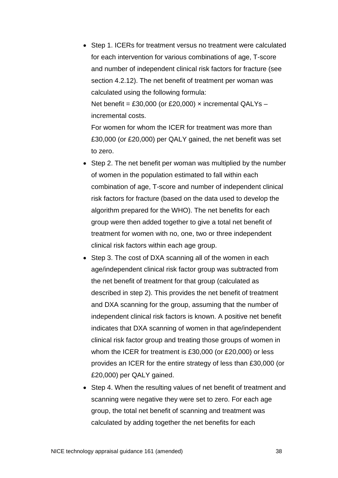• Step 1. ICERs for treatment versus no treatment were calculated for each intervention for various combinations of age, T-score and number of independent clinical risk factors for fracture (see section 4.2.12). The net benefit of treatment per woman was calculated using the following formula:

Net benefit = £30,000 (or £20,000)  $\times$  incremental QALYs – incremental costs.

For women for whom the ICER for treatment was more than £30,000 (or £20,000) per QALY gained, the net benefit was set to zero.

- Step 2. The net benefit per woman was multiplied by the number of women in the population estimated to fall within each combination of age, T-score and number of independent clinical risk factors for fracture (based on the data used to develop the algorithm prepared for the WHO). The net benefits for each group were then added together to give a total net benefit of treatment for women with no, one, two or three independent clinical risk factors within each age group.
- Step 3. The cost of DXA scanning all of the women in each age/independent clinical risk factor group was subtracted from the net benefit of treatment for that group (calculated as described in step 2). This provides the net benefit of treatment and DXA scanning for the group, assuming that the number of independent clinical risk factors is known. A positive net benefit indicates that DXA scanning of women in that age/independent clinical risk factor group and treating those groups of women in whom the ICER for treatment is £30,000 (or £20,000) or less provides an ICER for the entire strategy of less than £30,000 (or £20,000) per QALY gained.
- Step 4. When the resulting values of net benefit of treatment and scanning were negative they were set to zero. For each age group, the total net benefit of scanning and treatment was calculated by adding together the net benefits for each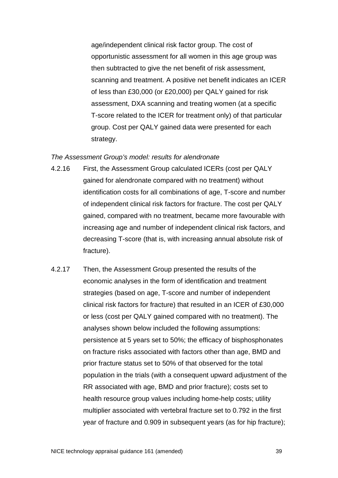age/independent clinical risk factor group. The cost of opportunistic assessment for all women in this age group was then subtracted to give the net benefit of risk assessment, scanning and treatment. A positive net benefit indicates an ICER of less than £30,000 (or £20,000) per QALY gained for risk assessment, DXA scanning and treating women (at a specific T-score related to the ICER for treatment only) of that particular group. Cost per QALY gained data were presented for each strategy.

#### *The Assessment Group's model: results for alendronate*

- 4.2.16 First, the Assessment Group calculated ICERs (cost per QALY gained for alendronate compared with no treatment) without identification costs for all combinations of age, T-score and number of independent clinical risk factors for fracture. The cost per QALY gained, compared with no treatment, became more favourable with increasing age and number of independent clinical risk factors, and decreasing T-score (that is, with increasing annual absolute risk of fracture).
- 4.2.17 Then, the Assessment Group presented the results of the economic analyses in the form of identification and treatment strategies (based on age, T-score and number of independent clinical risk factors for fracture) that resulted in an ICER of £30,000 or less (cost per QALY gained compared with no treatment). The analyses shown below included the following assumptions: persistence at 5 years set to 50%; the efficacy of bisphosphonates on fracture risks associated with factors other than age, BMD and prior fracture status set to 50% of that observed for the total population in the trials (with a consequent upward adjustment of the RR associated with age, BMD and prior fracture); costs set to health resource group values including home-help costs; utility multiplier associated with vertebral fracture set to 0.792 in the first year of fracture and 0.909 in subsequent years (as for hip fracture);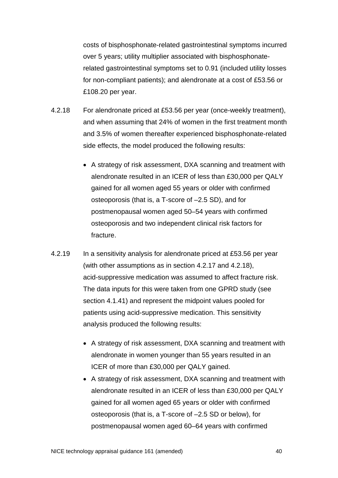costs of bisphosphonate-related gastrointestinal symptoms incurred over 5 years; utility multiplier associated with bisphosphonaterelated gastrointestinal symptoms set to 0.91 (included utility losses for non-compliant patients); and alendronate at a cost of £53.56 or £108.20 per year.

- 4.2.18 For alendronate priced at £53.56 per year (once-weekly treatment), and when assuming that 24% of women in the first treatment month and 3.5% of women thereafter experienced bisphosphonate-related side effects, the model produced the following results:
	- A strategy of risk assessment, DXA scanning and treatment with alendronate resulted in an ICER of less than £30,000 per QALY gained for all women aged 55 years or older with confirmed osteoporosis (that is, a T-score of –2.5 SD), and for postmenopausal women aged 50–54 years with confirmed osteoporosis and two independent clinical risk factors for fracture.
- 4.2.19 In a sensitivity analysis for alendronate priced at £53.56 per year (with other assumptions as in section 4.2.17 and 4.2.18), acid-suppressive medication was assumed to affect fracture risk. The data inputs for this were taken from one GPRD study (see section 4.1.41) and represent the midpoint values pooled for patients using acid-suppressive medication. This sensitivity analysis produced the following results:
	- A strategy of risk assessment, DXA scanning and treatment with alendronate in women younger than 55 years resulted in an ICER of more than £30,000 per QALY gained.
	- A strategy of risk assessment, DXA scanning and treatment with alendronate resulted in an ICER of less than £30,000 per QALY gained for all women aged 65 years or older with confirmed osteoporosis (that is, a T-score of –2.5 SD or below), for postmenopausal women aged 60–64 years with confirmed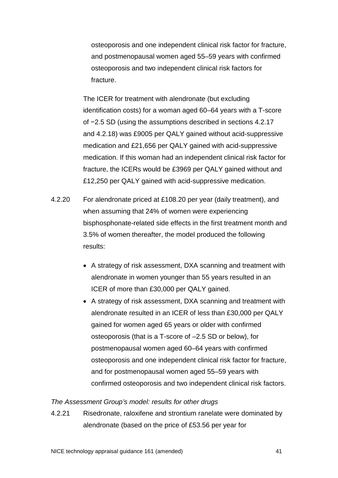osteoporosis and one independent clinical risk factor for fracture, and postmenopausal women aged 55–59 years with confirmed osteoporosis and two independent clinical risk factors for fracture.

The ICER for treatment with alendronate (but excluding identification costs) for a woman aged 60–64 years with a T-score of −2.5 SD (using the assumptions described in sections 4.2.17 and 4.2.18) was £9005 per QALY gained without acid-suppressive medication and £21,656 per QALY gained with acid-suppressive medication. If this woman had an independent clinical risk factor for fracture, the ICERs would be £3969 per QALY gained without and £12,250 per QALY gained with acid-suppressive medication.

- 4.2.20 For alendronate priced at £108.20 per year (daily treatment), and when assuming that 24% of women were experiencing bisphosphonate-related side effects in the first treatment month and 3.5% of women thereafter, the model produced the following results:
	- A strategy of risk assessment, DXA scanning and treatment with alendronate in women younger than 55 years resulted in an ICER of more than £30,000 per QALY gained.
	- A strategy of risk assessment, DXA scanning and treatment with alendronate resulted in an ICER of less than £30,000 per QALY gained for women aged 65 years or older with confirmed osteoporosis (that is a T-score of –2.5 SD or below), for postmenopausal women aged 60–64 years with confirmed osteoporosis and one independent clinical risk factor for fracture, and for postmenopausal women aged 55–59 years with confirmed osteoporosis and two independent clinical risk factors.

# *The Assessment Group's model: results for other drugs*

4.2.21 Risedronate, raloxifene and strontium ranelate were dominated by alendronate (based on the price of £53.56 per year for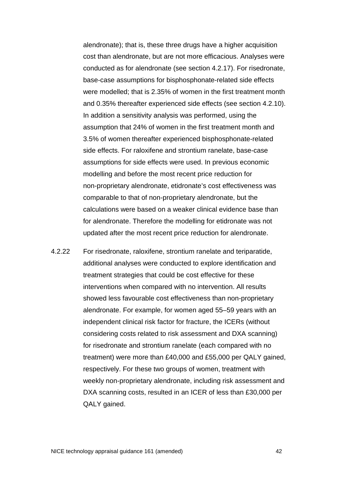alendronate); that is, these three drugs have a higher acquisition cost than alendronate, but are not more efficacious. Analyses were conducted as for alendronate (see section 4.2.17). For risedronate, base-case assumptions for bisphosphonate-related side effects were modelled; that is 2.35% of women in the first treatment month and 0.35% thereafter experienced side effects (see section 4.2.10). In addition a sensitivity analysis was performed, using the assumption that 24% of women in the first treatment month and 3.5% of women thereafter experienced bisphosphonate-related side effects. For raloxifene and strontium ranelate, base-case assumptions for side effects were used. In previous economic modelling and before the most recent price reduction for non-proprietary alendronate, etidronate's cost effectiveness was comparable to that of non-proprietary alendronate, but the calculations were based on a weaker clinical evidence base than for alendronate. Therefore the modelling for etidronate was not updated after the most recent price reduction for alendronate.

4.2.22 For risedronate, raloxifene, strontium ranelate and teriparatide, additional analyses were conducted to explore identification and treatment strategies that could be cost effective for these interventions when compared with no intervention. All results showed less favourable cost effectiveness than non-proprietary alendronate. For example, for women aged 55–59 years with an independent clinical risk factor for fracture, the ICERs (without considering costs related to risk assessment and DXA scanning) for risedronate and strontium ranelate (each compared with no treatment) were more than £40,000 and £55,000 per QALY gained, respectively. For these two groups of women, treatment with weekly non-proprietary alendronate, including risk assessment and DXA scanning costs, resulted in an ICER of less than £30,000 per QALY gained.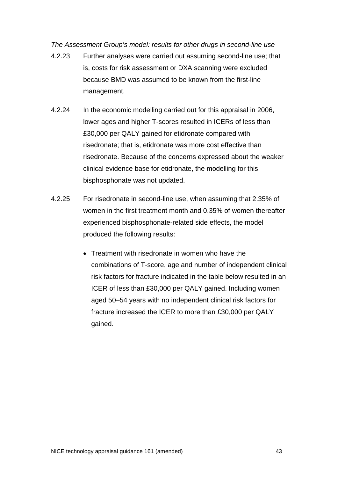*The Assessment Group's model: results for other drugs in second-line use*

- 4.2.23 Further analyses were carried out assuming second-line use; that is, costs for risk assessment or DXA scanning were excluded because BMD was assumed to be known from the first-line management.
- 4.2.24 In the economic modelling carried out for this appraisal in 2006, lower ages and higher T-scores resulted in ICERs of less than £30,000 per QALY gained for etidronate compared with risedronate; that is, etidronate was more cost effective than risedronate. Because of the concerns expressed about the weaker clinical evidence base for etidronate, the modelling for this bisphosphonate was not updated.
- 4.2.25 For risedronate in second-line use, when assuming that 2.35% of women in the first treatment month and 0.35% of women thereafter experienced bisphosphonate-related side effects, the model produced the following results:
	- Treatment with risedronate in women who have the combinations of T-score, age and number of independent clinical risk factors for fracture indicated in the table below resulted in an ICER of less than £30,000 per QALY gained. Including women aged 50–54 years with no independent clinical risk factors for fracture increased the ICER to more than £30,000 per QALY gained.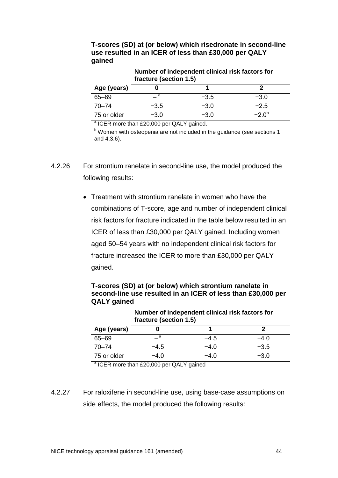|             | Number of independent clinical risk factors for<br>fracture (section 1.5) |        |            |  |  |
|-------------|---------------------------------------------------------------------------|--------|------------|--|--|
| Age (years) |                                                                           |        |            |  |  |
| $65 - 69$   | - a                                                                       | $-3.5$ | $-3.0$     |  |  |
| $70 - 74$   | $-3.5$                                                                    | $-3.0$ | $-2.5$     |  |  |
| 75 or older | $-3.0$                                                                    | $-3.0$ | $-2.0^{b}$ |  |  |

**T-scores (SD) at (or below) which risedronate in second-line use resulted in an ICER of less than £30,000 per QALY gained**

<sup>a</sup> ICER more than £20,000 per QALY gained.

 $b$  Women with osteopenia are not included in the guidance (see sections 1 and 4.3.6).

- 4.2.26 For strontium ranelate in second-line use, the model produced the following results:
	- Treatment with strontium ranelate in women who have the combinations of T-score, age and number of independent clinical risk factors for fracture indicated in the table below resulted in an ICER of less than £30,000 per QALY gained. Including women aged 50–54 years with no independent clinical risk factors for fracture increased the ICER to more than £30,000 per QALY gained.

| Number of independent clinical risk factors for<br>fracture (section 1.5) |        |        |        |  |  |
|---------------------------------------------------------------------------|--------|--------|--------|--|--|
| Age (years)                                                               |        |        |        |  |  |
| $65 - 69$                                                                 | - a    | $-4.5$ | $-4.0$ |  |  |
| $70 - 74$                                                                 | $-4.5$ | $-4.0$ | $-3.5$ |  |  |
| 75 or older                                                               | $-4.0$ | $-4.0$ | $-3.0$ |  |  |

**T-scores (SD) at (or below) which strontium ranelate in second-line use resulted in an ICER of less than £30,000 per QALY gained**

<sup>a</sup> ICER more than £20,000 per QALY gained

4.2.27 For raloxifene in second-line use, using base-case assumptions on side effects, the model produced the following results: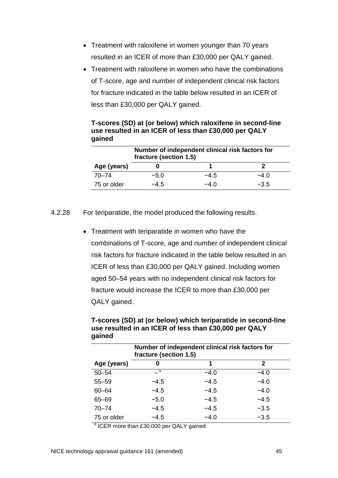- Treatment with raloxifene in women younger than 70 years resulted in an ICER of more than £30,000 per QALY gained.
- Treatment with raloxifene in women who have the combinations of T-score, age and number of independent clinical risk factors for fracture indicated in the table below resulted in an ICER of less than £30,000 per QALY gained.

| Number of independent clinical risk factors for<br>fracture (section 1.5) |        |        |        |  |  |
|---------------------------------------------------------------------------|--------|--------|--------|--|--|
| Age (years)                                                               |        |        |        |  |  |
| $70 - 74$                                                                 | $-5.0$ | $-4.5$ | $-4.0$ |  |  |
| 75 or older                                                               | $-4.5$ | $-4.0$ | $-3.5$ |  |  |

**T-scores (SD) at (or below) which raloxifene in second-line use resulted in an ICER of less than £30,000 per QALY gained** 

4.2.28 For teriparatide, the model produced the following results.

• Treatment with teriparatide in women who have the combinations of T-score, age and number of independent clinical risk factors for fracture indicated in the table below resulted in an ICER of less than £30,000 per QALY gained. Including women aged 50–54 years with no independent clinical risk factors for fracture would increase the ICER to more than £30,000 per QALY gained.

**T-scores (SD) at (or below) which teriparatide in second-line use resulted in an ICER of less than £30,000 per QALY gained**

|             | Number of independent clinical risk factors for<br>fracture (section 1.5) |        |        |  |
|-------------|---------------------------------------------------------------------------|--------|--------|--|
| Age (years) | 0                                                                         | 1      | 2      |  |
| $50 - 54$   | $\overline{\phantom{a}}$ a                                                | $-4.0$ | $-4.0$ |  |
| $55 - 59$   | $-4.5$                                                                    | $-4.5$ | $-4.0$ |  |
| $60 - 64$   | $-4.5$                                                                    | $-4.5$ | $-4.0$ |  |
| $65 - 69$   | $-5.0$                                                                    | $-4.5$ | $-4.5$ |  |
| $70 - 74$   | $-4.5$                                                                    | $-4.5$ | $-3.5$ |  |
| 75 or older | $-4.5$                                                                    | $-4.0$ | $-3.5$ |  |

<sup>a</sup> ICER more than £30,000 per QALY gained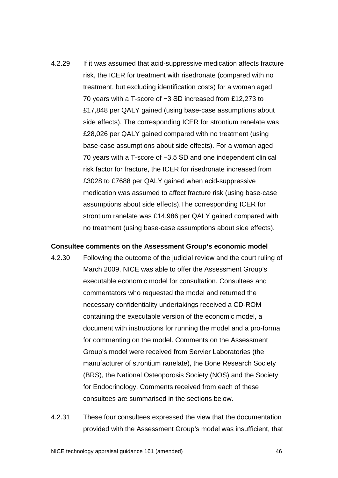4.2.29 If it was assumed that acid-suppressive medication affects fracture risk, the ICER for treatment with risedronate (compared with no treatment, but excluding identification costs) for a woman aged 70 years with a T-score of −3 SD increased from £12,273 to £17,848 per QALY gained (using base-case assumptions about side effects). The corresponding ICER for strontium ranelate was £28,026 per QALY gained compared with no treatment (using base-case assumptions about side effects). For a woman aged 70 years with a T-score of −3.5 SD and one independent clinical risk factor for fracture, the ICER for risedronate increased from £3028 to £7688 per QALY gained when acid-suppressive medication was assumed to affect fracture risk (using base-case assumptions about side effects).The corresponding ICER for strontium ranelate was £14,986 per QALY gained compared with no treatment (using base-case assumptions about side effects).

# **Consultee comments on the Assessment Group's economic model**

- 4.2.30 Following the outcome of the judicial review and the court ruling of March 2009, NICE was able to offer the Assessment Group's executable economic model for consultation. Consultees and commentators who requested the model and returned the necessary confidentiality undertakings received a CD-ROM containing the executable version of the economic model, a document with instructions for running the model and a pro-forma for commenting on the model. Comments on the Assessment Group's model were received from Servier Laboratories (the manufacturer of strontium ranelate), the Bone Research Society (BRS), the National Osteoporosis Society (NOS) and the Society for Endocrinology. Comments received from each of these consultees are summarised in the sections below.
- 4.2.31 These four consultees expressed the view that the documentation provided with the Assessment Group's model was insufficient, that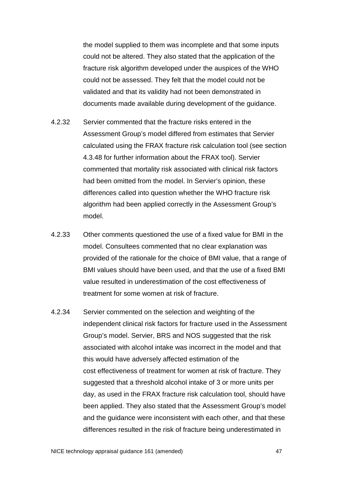the model supplied to them was incomplete and that some inputs could not be altered. They also stated that the application of the fracture risk algorithm developed under the auspices of the WHO could not be assessed. They felt that the model could not be validated and that its validity had not been demonstrated in documents made available during development of the guidance.

- 4.2.32 Servier commented that the fracture risks entered in the Assessment Group's model differed from estimates that Servier calculated using the FRAX fracture risk calculation tool (see section [4.3.48](#page-73-0) for further information about the FRAX tool). Servier commented that mortality risk associated with clinical risk factors had been omitted from the model. In Servier's opinion, these differences called into question whether the WHO fracture risk algorithm had been applied correctly in the Assessment Group's model.
- 4.2.33 Other comments questioned the use of a fixed value for BMI in the model. Consultees commented that no clear explanation was provided of the rationale for the choice of BMI value, that a range of BMI values should have been used, and that the use of a fixed BMI value resulted in underestimation of the cost effectiveness of treatment for some women at risk of fracture.
- 4.2.34 Servier commented on the selection and weighting of the independent clinical risk factors for fracture used in the Assessment Group's model. Servier, BRS and NOS suggested that the risk associated with alcohol intake was incorrect in the model and that this would have adversely affected estimation of the cost effectiveness of treatment for women at risk of fracture. They suggested that a threshold alcohol intake of 3 or more units per day, as used in the FRAX fracture risk calculation tool, should have been applied. They also stated that the Assessment Group's model and the guidance were inconsistent with each other, and that these differences resulted in the risk of fracture being underestimated in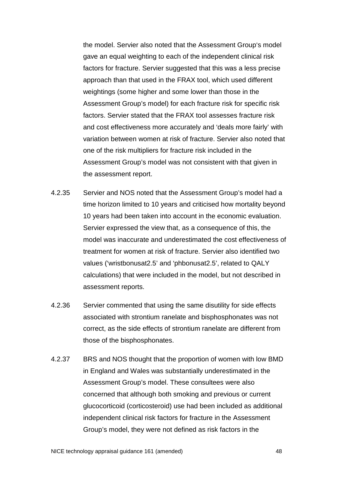the model. Servier also noted that the Assessment Group's model gave an equal weighting to each of the independent clinical risk factors for fracture. Servier suggested that this was a less precise approach than that used in the FRAX tool, which used different weightings (some higher and some lower than those in the Assessment Group's model) for each fracture risk for specific risk factors. Servier stated that the FRAX tool assesses fracture risk and cost effectiveness more accurately and 'deals more fairly' with variation between women at risk of fracture. Servier also noted that one of the risk multipliers for fracture risk included in the Assessment Group's model was not consistent with that given in the assessment report.

- 4.2.35 Servier and NOS noted that the Assessment Group's model had a time horizon limited to 10 years and criticised how mortality beyond 10 years had been taken into account in the economic evaluation. Servier expressed the view that, as a consequence of this, the model was inaccurate and underestimated the cost effectiveness of treatment for women at risk of fracture. Servier also identified two values ('wristbonusat2.5' and 'phbonusat2.5', related to QALY calculations) that were included in the model, but not described in assessment reports.
- 4.2.36 Servier commented that using the same disutility for side effects associated with strontium ranelate and bisphosphonates was not correct, as the side effects of strontium ranelate are different from those of the bisphosphonates.
- 4.2.37 BRS and NOS thought that the proportion of women with low BMD in England and Wales was substantially underestimated in the Assessment Group's model. These consultees were also concerned that although both smoking and previous or current glucocorticoid (corticosteroid) use had been included as additional independent clinical risk factors for fracture in the Assessment Group's model, they were not defined as risk factors in the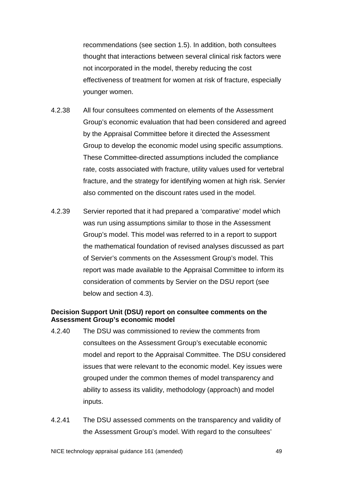recommendations (see section 1.5). In addition, both consultees thought that interactions between several clinical risk factors were not incorporated in the model, thereby reducing the cost effectiveness of treatment for women at risk of fracture, especially younger women.

- 4.2.38 All four consultees commented on elements of the Assessment Group's economic evaluation that had been considered and agreed by the Appraisal Committee before it directed the Assessment Group to develop the economic model using specific assumptions. These Committee-directed assumptions included the compliance rate, costs associated with fracture, utility values used for vertebral fracture, and the strategy for identifying women at high risk. Servier also commented on the discount rates used in the model.
- 4.2.39 Servier reported that it had prepared a 'comparative' model which was run using assumptions similar to those in the Assessment Group's model. This model was referred to in a report to support the mathematical foundation of revised analyses discussed as part of Servier's comments on the Assessment Group's model. This report was made available to the Appraisal Committee to inform its consideration of comments by Servier on the DSU report (see below and section 4.3).

# **Decision Support Unit (DSU) report on consultee comments on the Assessment Group's economic model**

- 4.2.40 The DSU was commissioned to review the comments from consultees on the Assessment Group's executable economic model and report to the Appraisal Committee. The DSU considered issues that were relevant to the economic model. Key issues were grouped under the common themes of model transparency and ability to assess its validity, methodology (approach) and model inputs.
- 4.2.41 The DSU assessed comments on the transparency and validity of the Assessment Group's model. With regard to the consultees'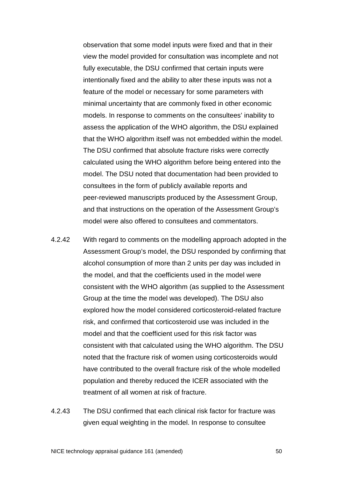observation that some model inputs were fixed and that in their view the model provided for consultation was incomplete and not fully executable, the DSU confirmed that certain inputs were intentionally fixed and the ability to alter these inputs was not a feature of the model or necessary for some parameters with minimal uncertainty that are commonly fixed in other economic models. In response to comments on the consultees' inability to assess the application of the WHO algorithm, the DSU explained that the WHO algorithm itself was not embedded within the model. The DSU confirmed that absolute fracture risks were correctly calculated using the WHO algorithm before being entered into the model. The DSU noted that documentation had been provided to consultees in the form of publicly available reports and peer-reviewed manuscripts produced by the Assessment Group, and that instructions on the operation of the Assessment Group's model were also offered to consultees and commentators.

- 4.2.42 With regard to comments on the modelling approach adopted in the Assessment Group's model, the DSU responded by confirming that alcohol consumption of more than 2 units per day was included in the model, and that the coefficients used in the model were consistent with the WHO algorithm (as supplied to the Assessment Group at the time the model was developed). The DSU also explored how the model considered corticosteroid-related fracture risk, and confirmed that corticosteroid use was included in the model and that the coefficient used for this risk factor was consistent with that calculated using the WHO algorithm. The DSU noted that the fracture risk of women using corticosteroids would have contributed to the overall fracture risk of the whole modelled population and thereby reduced the ICER associated with the treatment of all women at risk of fracture.
- 4.2.43 The DSU confirmed that each clinical risk factor for fracture was given equal weighting in the model. In response to consultee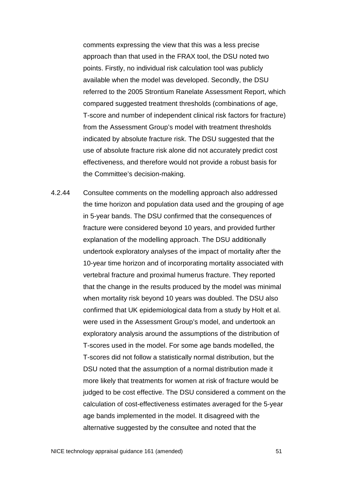comments expressing the view that this was a less precise approach than that used in the FRAX tool, the DSU noted two points. Firstly, no individual risk calculation tool was publicly available when the model was developed. Secondly, the DSU referred to the 2005 Strontium Ranelate Assessment Report, which compared suggested treatment thresholds (combinations of age, T-score and number of independent clinical risk factors for fracture) from the Assessment Group's model with treatment thresholds indicated by absolute fracture risk. The DSU suggested that the use of absolute fracture risk alone did not accurately predict cost effectiveness, and therefore would not provide a robust basis for the Committee's decision-making.

4.2.44 Consultee comments on the modelling approach also addressed the time horizon and population data used and the grouping of age in 5-year bands. The DSU confirmed that the consequences of fracture were considered beyond 10 years, and provided further explanation of the modelling approach. The DSU additionally undertook exploratory analyses of the impact of mortality after the 10-year time horizon and of incorporating mortality associated with vertebral fracture and proximal humerus fracture. They reported that the change in the results produced by the model was minimal when mortality risk beyond 10 years was doubled. The DSU also confirmed that UK epidemiological data from a study by Holt et al. were used in the Assessment Group's model, and undertook an exploratory analysis around the assumptions of the distribution of T-scores used in the model. For some age bands modelled, the T-scores did not follow a statistically normal distribution, but the DSU noted that the assumption of a normal distribution made it more likely that treatments for women at risk of fracture would be judged to be cost effective. The DSU considered a comment on the calculation of cost-effectiveness estimates averaged for the 5-year age bands implemented in the model. It disagreed with the alternative suggested by the consultee and noted that the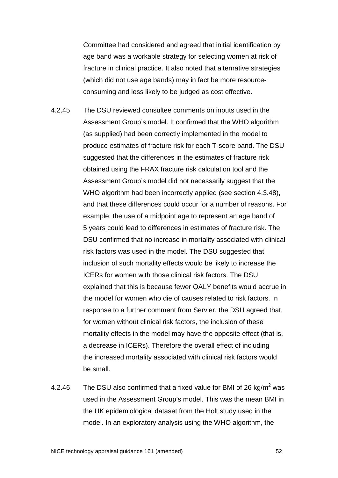Committee had considered and agreed that initial identification by age band was a workable strategy for selecting women at risk of fracture in clinical practice. It also noted that alternative strategies (which did not use age bands) may in fact be more resourceconsuming and less likely to be judged as cost effective.

- 4.2.45 The DSU reviewed consultee comments on inputs used in the Assessment Group's model. It confirmed that the WHO algorithm (as supplied) had been correctly implemented in the model to produce estimates of fracture risk for each T-score band. The DSU suggested that the differences in the estimates of fracture risk obtained using the FRAX fracture risk calculation tool and the Assessment Group's model did not necessarily suggest that the WHO algorithm had been incorrectly applied (see section [4.3.48\)](#page-73-0), and that these differences could occur for a number of reasons. For example, the use of a midpoint age to represent an age band of 5 years could lead to differences in estimates of fracture risk. The DSU confirmed that no increase in mortality associated with clinical risk factors was used in the model. The DSU suggested that inclusion of such mortality effects would be likely to increase the ICERs for women with those clinical risk factors. The DSU explained that this is because fewer QALY benefits would accrue in the model for women who die of causes related to risk factors. In response to a further comment from Servier, the DSU agreed that, for women without clinical risk factors, the inclusion of these mortality effects in the model may have the opposite effect (that is, a decrease in ICERs). Therefore the overall effect of including the increased mortality associated with clinical risk factors would be small.
- 4.2.46 The DSU also confirmed that a fixed value for BMI of 26 kg/m<sup>2</sup> was used in the Assessment Group's model. This was the mean BMI in the UK epidemiological dataset from the Holt study used in the model. In an exploratory analysis using the WHO algorithm, the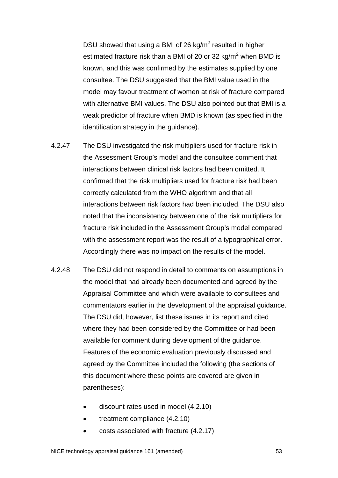DSU showed that using a BMI of 26 kg/ $m^2$  resulted in higher estimated fracture risk than a BMI of 20 or 32 kg/m<sup>2</sup> when BMD is known, and this was confirmed by the estimates supplied by one consultee. The DSU suggested that the BMI value used in the model may favour treatment of women at risk of fracture compared with alternative BMI values. The DSU also pointed out that BMI is a weak predictor of fracture when BMD is known (as specified in the identification strategy in the guidance).

- 4.2.47 The DSU investigated the risk multipliers used for fracture risk in the Assessment Group's model and the consultee comment that interactions between clinical risk factors had been omitted. It confirmed that the risk multipliers used for fracture risk had been correctly calculated from the WHO algorithm and that all interactions between risk factors had been included. The DSU also noted that the inconsistency between one of the risk multipliers for fracture risk included in the Assessment Group's model compared with the assessment report was the result of a typographical error. Accordingly there was no impact on the results of the model.
- 4.2.48 The DSU did not respond in detail to comments on assumptions in the model that had already been documented and agreed by the Appraisal Committee and which were available to consultees and commentators earlier in the development of the appraisal guidance. The DSU did, however, list these issues in its report and cited where they had been considered by the Committee or had been available for comment during development of the guidance. Features of the economic evaluation previously discussed and agreed by the Committee included the following (the sections of this document where these points are covered are given in parentheses):
	- discount rates used in model (4.2.10)
	- treatment compliance (4.2.10)
	- costs associated with fracture (4.2.17)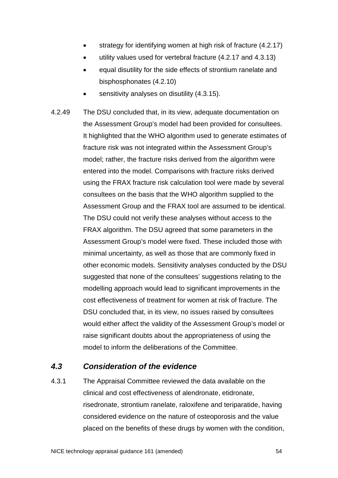- strategy for identifying women at high risk of fracture (4.2.17)
- utility values used for vertebral fracture (4.2.17 and 4.3.13)
- equal disutility for the side effects of strontium ranelate and bisphosphonates (4.2.10)
- sensitivity analyses on disutility (4.3.15).
- 4.2.49 The DSU concluded that, in its view, adequate documentation on the Assessment Group's model had been provided for consultees. It highlighted that the WHO algorithm used to generate estimates of fracture risk was not integrated within the Assessment Group's model; rather, the fracture risks derived from the algorithm were entered into the model. Comparisons with fracture risks derived using the FRAX fracture risk calculation tool were made by several consultees on the basis that the WHO algorithm supplied to the Assessment Group and the FRAX tool are assumed to be identical. The DSU could not verify these analyses without access to the FRAX algorithm. The DSU agreed that some parameters in the Assessment Group's model were fixed. These included those with minimal uncertainty, as well as those that are commonly fixed in other economic models. Sensitivity analyses conducted by the DSU suggested that none of the consultees' suggestions relating to the modelling approach would lead to significant improvements in the cost effectiveness of treatment for women at risk of fracture. The DSU concluded that, in its view, no issues raised by consultees would either affect the validity of the Assessment Group's model or raise significant doubts about the appropriateness of using the model to inform the deliberations of the Committee.

# *4.3 Consideration of the evidence*

4.3.1 The Appraisal Committee reviewed the data available on the clinical and cost effectiveness of alendronate, etidronate, risedronate, strontium ranelate, raloxifene and teriparatide, having considered evidence on the nature of osteoporosis and the value placed on the benefits of these drugs by women with the condition,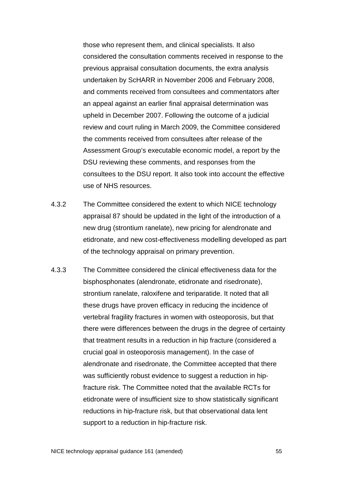those who represent them, and clinical specialists. It also considered the consultation comments received in response to the previous appraisal consultation documents, the extra analysis undertaken by ScHARR in November 2006 and February 2008, and comments received from consultees and commentators after an appeal against an earlier final appraisal determination was upheld in December 2007. Following the outcome of a judicial review and court ruling in March 2009, the Committee considered the comments received from consultees after release of the Assessment Group's executable economic model, a report by the DSU reviewing these comments, and responses from the consultees to the DSU report. It also took into account the effective use of NHS resources.

- 4.3.2 The Committee considered the extent to which NICE technology appraisal 87 should be updated in the light of the introduction of a new drug (strontium ranelate), new pricing for alendronate and etidronate, and new cost-effectiveness modelling developed as part of the technology appraisal on primary prevention.
- 4.3.3 The Committee considered the clinical effectiveness data for the bisphosphonates (alendronate, etidronate and risedronate), strontium ranelate, raloxifene and teriparatide. It noted that all these drugs have proven efficacy in reducing the incidence of vertebral fragility fractures in women with osteoporosis, but that there were differences between the drugs in the degree of certainty that treatment results in a reduction in hip fracture (considered a crucial goal in osteoporosis management). In the case of alendronate and risedronate, the Committee accepted that there was sufficiently robust evidence to suggest a reduction in hipfracture risk. The Committee noted that the available RCTs for etidronate were of insufficient size to show statistically significant reductions in hip-fracture risk, but that observational data lent support to a reduction in hip-fracture risk.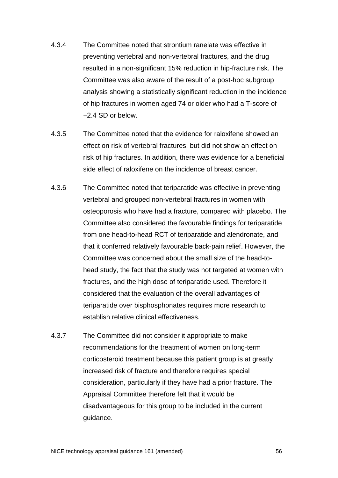- 4.3.4 The Committee noted that strontium ranelate was effective in preventing vertebral and non-vertebral fractures, and the drug resulted in a non-significant 15% reduction in hip-fracture risk. The Committee was also aware of the result of a post-hoc subgroup analysis showing a statistically significant reduction in the incidence of hip fractures in women aged 74 or older who had a T-score of −2.4 SD or below.
- 4.3.5 The Committee noted that the evidence for raloxifene showed an effect on risk of vertebral fractures, but did not show an effect on risk of hip fractures. In addition, there was evidence for a beneficial side effect of raloxifene on the incidence of breast cancer.
- 4.3.6 The Committee noted that teriparatide was effective in preventing vertebral and grouped non-vertebral fractures in women with osteoporosis who have had a fracture, compared with placebo. The Committee also considered the favourable findings for teriparatide from one head-to-head RCT of teriparatide and alendronate, and that it conferred relatively favourable back-pain relief. However, the Committee was concerned about the small size of the head-tohead study, the fact that the study was not targeted at women with fractures, and the high dose of teriparatide used. Therefore it considered that the evaluation of the overall advantages of teriparatide over bisphosphonates requires more research to establish relative clinical effectiveness.
- 4.3.7 The Committee did not consider it appropriate to make recommendations for the treatment of women on long-term corticosteroid treatment because this patient group is at greatly increased risk of fracture and therefore requires special consideration, particularly if they have had a prior fracture. The Appraisal Committee therefore felt that it would be disadvantageous for this group to be included in the current guidance.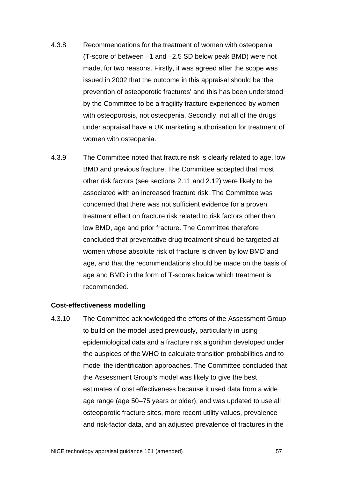- 4.3.8 Recommendations for the treatment of women with osteopenia (T-score of between –1 and –2.5 SD below peak BMD) were not made, for two reasons. Firstly, it was agreed after the scope was issued in 2002 that the outcome in this appraisal should be 'the prevention of osteoporotic fractures' and this has been understood by the Committee to be a fragility fracture experienced by women with osteoporosis, not osteopenia. Secondly, not all of the drugs under appraisal have a UK marketing authorisation for treatment of women with osteopenia.
- 4.3.9 The Committee noted that fracture risk is clearly related to age, low BMD and previous fracture. The Committee accepted that most other risk factors (see sections 2.11 and 2.12) were likely to be associated with an increased fracture risk. The Committee was concerned that there was not sufficient evidence for a proven treatment effect on fracture risk related to risk factors other than low BMD, age and prior fracture. The Committee therefore concluded that preventative drug treatment should be targeted at women whose absolute risk of fracture is driven by low BMD and age, and that the recommendations should be made on the basis of age and BMD in the form of T-scores below which treatment is recommended.

# **Cost-effectiveness modelling**

4.3.10 The Committee acknowledged the efforts of the Assessment Group to build on the model used previously, particularly in using epidemiological data and a fracture risk algorithm developed under the auspices of the WHO to calculate transition probabilities and to model the identification approaches. The Committee concluded that the Assessment Group's model was likely to give the best estimates of cost effectiveness because it used data from a wide age range (age 50–75 years or older), and was updated to use all osteoporotic fracture sites, more recent utility values, prevalence and risk-factor data, and an adjusted prevalence of fractures in the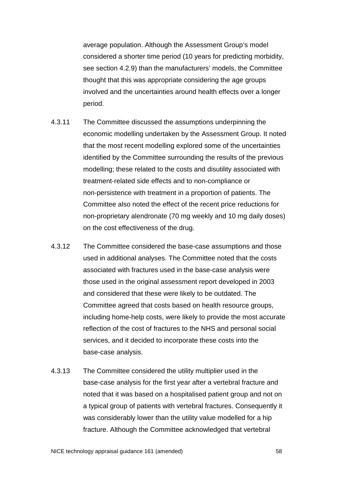average population. Although the Assessment Group's model considered a shorter time period (10 years for predicting morbidity, see section 4.2.9) than the manufacturers' models, the Committee thought that this was appropriate considering the age groups involved and the uncertainties around health effects over a longer period.

- 4.3.11 The Committee discussed the assumptions underpinning the economic modelling undertaken by the Assessment Group. It noted that the most recent modelling explored some of the uncertainties identified by the Committee surrounding the results of the previous modelling; these related to the costs and disutility associated with treatment-related side effects and to non-compliance or non-persistence with treatment in a proportion of patients. The Committee also noted the effect of the recent price reductions for non-proprietary alendronate (70 mg weekly and 10 mg daily doses) on the cost effectiveness of the drug.
- 4.3.12 The Committee considered the base-case assumptions and those used in additional analyses. The Committee noted that the costs associated with fractures used in the base-case analysis were those used in the original assessment report developed in 2003 and considered that these were likely to be outdated. The Committee agreed that costs based on health resource groups, including home-help costs, were likely to provide the most accurate reflection of the cost of fractures to the NHS and personal social services, and it decided to incorporate these costs into the base-case analysis.
- 4.3.13 The Committee considered the utility multiplier used in the base-case analysis for the first year after a vertebral fracture and noted that it was based on a hospitalised patient group and not on a typical group of patients with vertebral fractures. Consequently it was considerably lower than the utility value modelled for a hip fracture. Although the Committee acknowledged that vertebral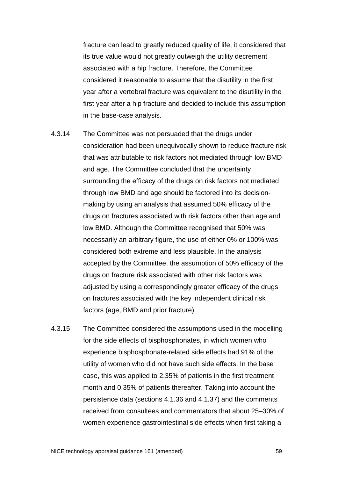fracture can lead to greatly reduced quality of life, it considered that its true value would not greatly outweigh the utility decrement associated with a hip fracture. Therefore, the Committee considered it reasonable to assume that the disutility in the first year after a vertebral fracture was equivalent to the disutility in the first year after a hip fracture and decided to include this assumption in the base-case analysis.

- 4.3.14 The Committee was not persuaded that the drugs under consideration had been unequivocally shown to reduce fracture risk that was attributable to risk factors not mediated through low BMD and age. The Committee concluded that the uncertainty surrounding the efficacy of the drugs on risk factors not mediated through low BMD and age should be factored into its decisionmaking by using an analysis that assumed 50% efficacy of the drugs on fractures associated with risk factors other than age and low BMD. Although the Committee recognised that 50% was necessarily an arbitrary figure, the use of either 0% or 100% was considered both extreme and less plausible. In the analysis accepted by the Committee, the assumption of 50% efficacy of the drugs on fracture risk associated with other risk factors was adjusted by using a correspondingly greater efficacy of the drugs on fractures associated with the key independent clinical risk factors (age, BMD and prior fracture).
- 4.3.15 The Committee considered the assumptions used in the modelling for the side effects of bisphosphonates, in which women who experience bisphosphonate-related side effects had 91% of the utility of women who did not have such side effects. In the base case, this was applied to 2.35% of patients in the first treatment month and 0.35% of patients thereafter. Taking into account the persistence data (sections 4.1.36 and 4.1.37) and the comments received from consultees and commentators that about 25–30% of women experience gastrointestinal side effects when first taking a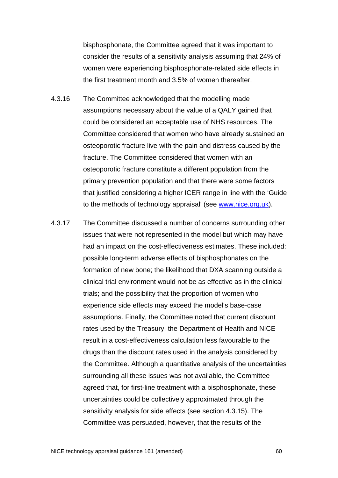bisphosphonate, the Committee agreed that it was important to consider the results of a sensitivity analysis assuming that 24% of women were experiencing bisphosphonate-related side effects in the first treatment month and 3.5% of women thereafter.

- 4.3.16 The Committee acknowledged that the modelling made assumptions necessary about the value of a QALY gained that could be considered an acceptable use of NHS resources. The Committee considered that women who have already sustained an osteoporotic fracture live with the pain and distress caused by the fracture. The Committee considered that women with an osteoporotic fracture constitute a different population from the primary prevention population and that there were some factors that justified considering a higher ICER range in line with the 'Guide to the methods of technology appraisal' (see [www.nice.org.uk\)](http://www.nice.org.uk/).
- 4.3.17 The Committee discussed a number of concerns surrounding other issues that were not represented in the model but which may have had an impact on the cost-effectiveness estimates. These included: possible long-term adverse effects of bisphosphonates on the formation of new bone; the likelihood that DXA scanning outside a clinical trial environment would not be as effective as in the clinical trials; and the possibility that the proportion of women who experience side effects may exceed the model's base-case assumptions. Finally, the Committee noted that current discount rates used by the Treasury, the Department of Health and NICE result in a cost-effectiveness calculation less favourable to the drugs than the discount rates used in the analysis considered by the Committee. Although a quantitative analysis of the uncertainties surrounding all these issues was not available, the Committee agreed that, for first-line treatment with a bisphosphonate, these uncertainties could be collectively approximated through the sensitivity analysis for side effects (see section 4.3.15). The Committee was persuaded, however, that the results of the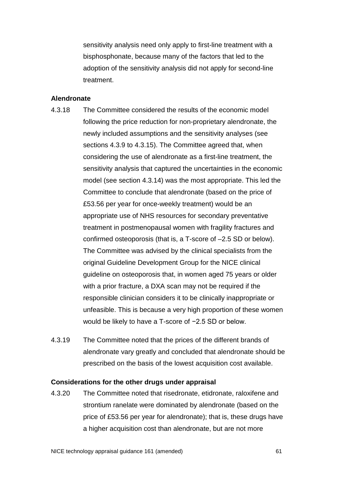sensitivity analysis need only apply to first-line treatment with a bisphosphonate, because many of the factors that led to the adoption of the sensitivity analysis did not apply for second-line treatment.

### **Alendronate**

- 4.3.18 The Committee considered the results of the economic model following the price reduction for non-proprietary alendronate, the newly included assumptions and the sensitivity analyses (see sections 4.3.9 to 4.3.15). The Committee agreed that, when considering the use of alendronate as a first-line treatment, the sensitivity analysis that captured the uncertainties in the economic model (see section 4.3.14) was the most appropriate. This led the Committee to conclude that alendronate (based on the price of £53.56 per year for once-weekly treatment) would be an appropriate use of NHS resources for secondary preventative treatment in postmenopausal women with fragility fractures and confirmed osteoporosis (that is, a T-score of –2.5 SD or below). The Committee was advised by the clinical specialists from the original Guideline Development Group for the NICE clinical guideline on osteoporosis that, in women aged 75 years or older with a prior fracture, a DXA scan may not be required if the responsible clinician considers it to be clinically inappropriate or unfeasible. This is because a very high proportion of these women would be likely to have a T-score of −2.5 SD or below.
- 4.3.19 The Committee noted that the prices of the different brands of alendronate vary greatly and concluded that alendronate should be prescribed on the basis of the lowest acquisition cost available.

# **Considerations for the other drugs under appraisal**

4.3.20 The Committee noted that risedronate, etidronate, raloxifene and strontium ranelate were dominated by alendronate (based on the price of £53.56 per year for alendronate); that is, these drugs have a higher acquisition cost than alendronate, but are not more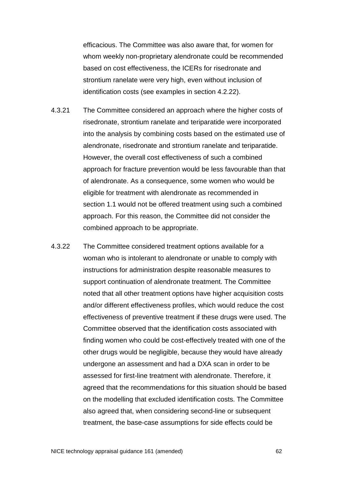efficacious. The Committee was also aware that, for women for whom weekly non-proprietary alendronate could be recommended based on cost effectiveness, the ICERs for risedronate and strontium ranelate were very high, even without inclusion of identification costs (see examples in section 4.2.22).

- 4.3.21 The Committee considered an approach where the higher costs of risedronate, strontium ranelate and teriparatide were incorporated into the analysis by combining costs based on the estimated use of alendronate, risedronate and strontium ranelate and teriparatide. However, the overall cost effectiveness of such a combined approach for fracture prevention would be less favourable than that of alendronate. As a consequence, some women who would be eligible for treatment with alendronate as recommended in section 1.1 would not be offered treatment using such a combined approach. For this reason, the Committee did not consider the combined approach to be appropriate.
- 4.3.22 The Committee considered treatment options available for a woman who is intolerant to alendronate or unable to comply with instructions for administration despite reasonable measures to support continuation of alendronate treatment. The Committee noted that all other treatment options have higher acquisition costs and/or different effectiveness profiles, which would reduce the cost effectiveness of preventive treatment if these drugs were used. The Committee observed that the identification costs associated with finding women who could be cost-effectively treated with one of the other drugs would be negligible, because they would have already undergone an assessment and had a DXA scan in order to be assessed for first-line treatment with alendronate. Therefore, it agreed that the recommendations for this situation should be based on the modelling that excluded identification costs. The Committee also agreed that, when considering second-line or subsequent treatment, the base-case assumptions for side effects could be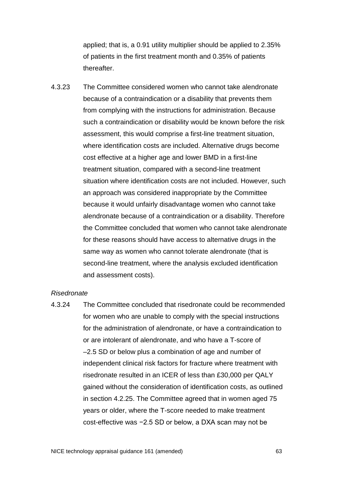applied; that is, a 0.91 utility multiplier should be applied to 2.35% of patients in the first treatment month and 0.35% of patients thereafter.

4.3.23 The Committee considered women who cannot take alendronate because of a contraindication or a disability that prevents them from complying with the instructions for administration. Because such a contraindication or disability would be known before the risk assessment, this would comprise a first-line treatment situation, where identification costs are included. Alternative drugs become cost effective at a higher age and lower BMD in a first-line treatment situation, compared with a second-line treatment situation where identification costs are not included. However, such an approach was considered inappropriate by the Committee because it would unfairly disadvantage women who cannot take alendronate because of a contraindication or a disability. Therefore the Committee concluded that women who cannot take alendronate for these reasons should have access to alternative drugs in the same way as women who cannot tolerate alendronate (that is second-line treatment, where the analysis excluded identification and assessment costs).

#### *Risedronate*

4.3.24 The Committee concluded that risedronate could be recommended for women who are unable to comply with the special instructions for the administration of alendronate, or have a contraindication to or are intolerant of alendronate, and who have a T-score of –2.5 SD or below plus a combination of age and number of independent clinical risk factors for fracture where treatment with risedronate resulted in an ICER of less than £30,000 per QALY gained without the consideration of identification costs, as outlined in section 4.2.25. The Committee agreed that in women aged 75 years or older, where the T-score needed to make treatment cost-effective was −2.5 SD or below, a DXA scan may not be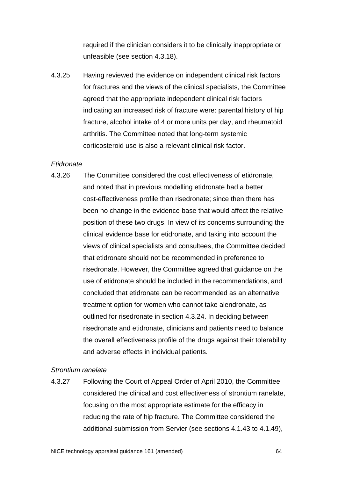required if the clinician considers it to be clinically inappropriate or unfeasible (see section 4.3.18).

4.3.25 Having reviewed the evidence on independent clinical risk factors for fractures and the views of the clinical specialists, the Committee agreed that the appropriate independent clinical risk factors indicating an increased risk of fracture were: parental history of hip fracture, alcohol intake of 4 or more units per day, and rheumatoid arthritis. The Committee noted that long-term systemic corticosteroid use is also a relevant clinical risk factor.

#### *Etidronate*

4.3.26 The Committee considered the cost effectiveness of etidronate, and noted that in previous modelling etidronate had a better cost-effectiveness profile than risedronate; since then there has been no change in the evidence base that would affect the relative position of these two drugs. In view of its concerns surrounding the clinical evidence base for etidronate, and taking into account the views of clinical specialists and consultees, the Committee decided that etidronate should not be recommended in preference to risedronate. However, the Committee agreed that guidance on the use of etidronate should be included in the recommendations, and concluded that etidronate can be recommended as an alternative treatment option for women who cannot take alendronate, as outlined for risedronate in section 4.3.24. In deciding between risedronate and etidronate, clinicians and patients need to balance the overall effectiveness profile of the drugs against their tolerability and adverse effects in individual patients.

# *Strontium ranelate*

<span id="page-63-0"></span>4.3.27 Following the Court of Appeal Order of April 2010, the Committee considered the clinical and cost effectiveness of strontium ranelate, focusing on the most appropriate estimate for the efficacy in reducing the rate of hip fracture. The Committee considered the additional submission from Servier (see sections [4.1.43](#page-25-0) to [4.1.49\)](#page-27-0),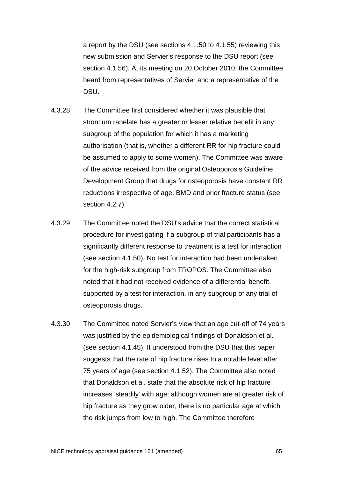a report by the DSU (see sections [4.1.50](#page-28-0) to [4.1.55\)](#page-29-0) reviewing this new submission and Servier's response to the DSU report (see section [4.1.56\)](#page-30-0). At its meeting on 20 October 2010, the Committee heard from representatives of Servier and a representative of the DSU.

- 4.3.28 The Committee first considered whether it was plausible that strontium ranelate has a greater or lesser relative benefit in any subgroup of the population for which it has a marketing authorisation (that is, whether a different RR for hip fracture could be assumed to apply to some women). The Committee was aware of the advice received from the original Osteoporosis Guideline Development Group that drugs for osteoporosis have constant RR reductions irrespective of age, BMD and prior fracture status (see section [4.2.7\)](#page-33-0).
- 4.3.29 The Committee noted the DSU's advice that the correct statistical procedure for investigating if a subgroup of trial participants has a significantly different response to treatment is a test for interaction (see section [4.1.50\)](#page-28-1). No test for interaction had been undertaken for the high-risk subgroup from TROPOS. The Committee also noted that it had not received evidence of a differential benefit, supported by a test for interaction, in any subgroup of any trial of osteoporosis drugs.
- 4.3.30 The Committee noted Servier's view that an age cut-off of 74 years was justified by the epidemiological findings of Donaldson et al. (see section [4.1.45\)](#page-26-0). It understood from the DSU that this paper suggests that the rate of hip fracture rises to a notable level after 75 years of age (see section [4.1.52\)](#page-29-1). The Committee also noted that Donaldson et al. state that the absolute risk of hip fracture increases 'steadily' with age: although women are at greater risk of hip fracture as they grow older, there is no particular age at which the risk jumps from low to high. The Committee therefore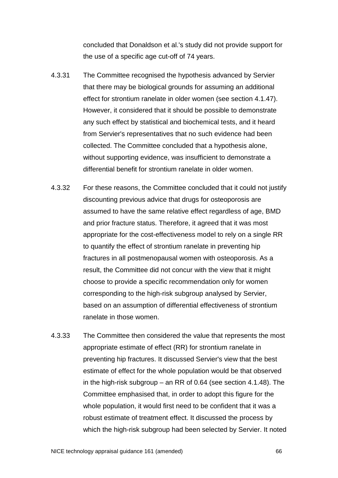concluded that Donaldson et al.'s study did not provide support for the use of a specific age cut-off of 74 years.

- 4.3.31 The Committee recognised the hypothesis advanced by Servier that there may be biological grounds for assuming an additional effect for strontium ranelate in older women (see section [4.1.47\)](#page-27-1). However, it considered that it should be possible to demonstrate any such effect by statistical and biochemical tests, and it heard from Servier's representatives that no such evidence had been collected. The Committee concluded that a hypothesis alone, without supporting evidence, was insufficient to demonstrate a differential benefit for strontium ranelate in older women.
- <span id="page-65-0"></span>4.3.32 For these reasons, the Committee concluded that it could not justify discounting previous advice that drugs for osteoporosis are assumed to have the same relative effect regardless of age, BMD and prior fracture status. Therefore, it agreed that it was most appropriate for the cost-effectiveness model to rely on a single RR to quantify the effect of strontium ranelate in preventing hip fractures in all postmenopausal women with osteoporosis. As a result, the Committee did not concur with the view that it might choose to provide a specific recommendation only for women corresponding to the high-risk subgroup analysed by Servier, based on an assumption of differential effectiveness of strontium ranelate in those women.
- 4.3.33 The Committee then considered the value that represents the most appropriate estimate of effect (RR) for strontium ranelate in preventing hip fractures. It discussed Servier's view that the best estimate of effect for the whole population would be that observed in the high-risk subgroup – an RR of 0.64 (see section [4.1.48\)](#page-27-2). The Committee emphasised that, in order to adopt this figure for the whole population, it would first need to be confident that it was a robust estimate of treatment effect. It discussed the process by which the high-risk subgroup had been selected by Servier. It noted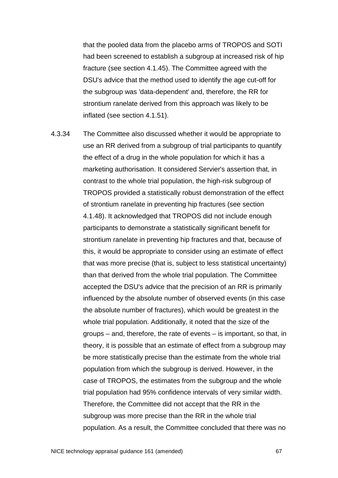that the pooled data from the placebo arms of TROPOS and SOTI had been screened to establish a subgroup at increased risk of hip fracture (see section [4.1.45\)](#page-26-0). The Committee agreed with the DSU's advice that the method used to identify the age cut-off for the subgroup was 'data-dependent' and, therefore, the RR for strontium ranelate derived from this approach was likely to be inflated (see section [4.1.51\)](#page-28-2).

4.3.34 The Committee also discussed whether it would be appropriate to use an RR derived from a subgroup of trial participants to quantify the effect of a drug in the whole population for which it has a marketing authorisation. It considered Servier's assertion that, in contrast to the whole trial population, the high-risk subgroup of TROPOS provided a statistically robust demonstration of the effect of strontium ranelate in preventing hip fractures (see section [4.1.48\)](#page-27-2). It acknowledged that TROPOS did not include enough participants to demonstrate a statistically significant benefit for strontium ranelate in preventing hip fractures and that, because of this, it would be appropriate to consider using an estimate of effect that was more precise (that is, subject to less statistical uncertainty) than that derived from the whole trial population. The Committee accepted the DSU's advice that the precision of an RR is primarily influenced by the absolute number of observed events (in this case the absolute number of fractures), which would be greatest in the whole trial population. Additionally, it noted that the size of the groups – and, therefore, the rate of events – is important, so that, in theory, it is possible that an estimate of effect from a subgroup may be more statistically precise than the estimate from the whole trial population from which the subgroup is derived. However, in the case of TROPOS, the estimates from the subgroup and the whole trial population had 95% confidence intervals of very similar width. Therefore, the Committee did not accept that the RR in the subgroup was more precise than the RR in the whole trial population. As a result, the Committee concluded that there was no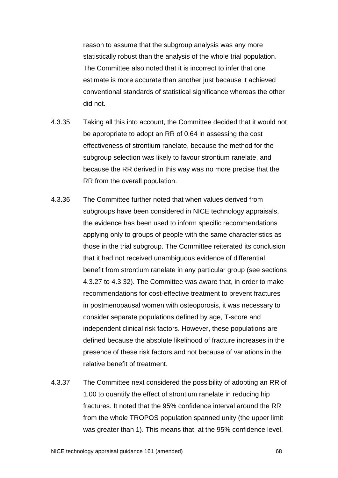reason to assume that the subgroup analysis was any more statistically robust than the analysis of the whole trial population. The Committee also noted that it is incorrect to infer that one estimate is more accurate than another just because it achieved conventional standards of statistical significance whereas the other did not.

- 4.3.35 Taking all this into account, the Committee decided that it would not be appropriate to adopt an RR of 0.64 in assessing the cost effectiveness of strontium ranelate, because the method for the subgroup selection was likely to favour strontium ranelate, and because the RR derived in this way was no more precise that the RR from the overall population.
- 4.3.36 The Committee further noted that when values derived from subgroups have been considered in NICE technology appraisals, the evidence has been used to inform specific recommendations applying only to groups of people with the same characteristics as those in the trial subgroup. The Committee reiterated its conclusion that it had not received unambiguous evidence of differential benefit from strontium ranelate in any particular group (see sections [4.3.27](#page-63-0) to [4.3.32\)](#page-65-0). The Committee was aware that, in order to make recommendations for cost-effective treatment to prevent fractures in postmenopausal women with osteoporosis, it was necessary to consider separate populations defined by age, T-score and independent clinical risk factors. However, these populations are defined because the absolute likelihood of fracture increases in the presence of these risk factors and not because of variations in the relative benefit of treatment.
- 4.3.37 The Committee next considered the possibility of adopting an RR of 1.00 to quantify the effect of strontium ranelate in reducing hip fractures. It noted that the 95% confidence interval around the RR from the whole TROPOS population spanned unity (the upper limit was greater than 1). This means that, at the 95% confidence level,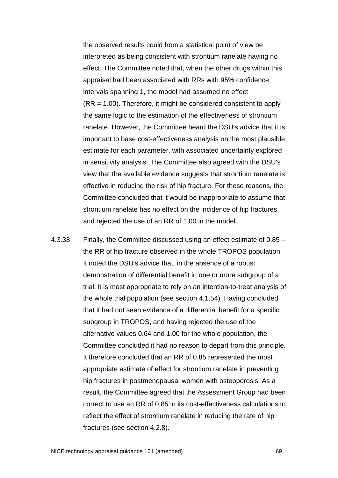the observed results could from a statistical point of view be interpreted as being consistent with strontium ranelate having no effect. The Committee noted that, when the other drugs within this appraisal had been associated with RRs with 95% confidence intervals spanning 1, the model had assumed no effect (RR = 1.00). Therefore, it might be considered consistent to apply the same logic to the estimation of the effectiveness of strontium ranelate. However, the Committee heard the DSU's advice that it is important to base cost-effectiveness analysis on the most plausible estimate for each parameter, with associated uncertainty explored in sensitivity analysis. The Committee also agreed with the DSU's view that the available evidence suggests that strontium ranelate is effective in reducing the risk of hip fracture. For these reasons, the Committee concluded that it would be inappropriate to assume that strontium ranelate has no effect on the incidence of hip fractures, and rejected the use of an RR of 1.00 in the model.

4.3.38 Finally, the Committee discussed using an effect estimate of 0.85 – the RR of hip fracture observed in the whole TROPOS population. It noted the DSU's advice that, in the absence of a robust demonstration of differential benefit in one or more subgroup of a trial, it is most appropriate to rely on an intention-to-treat analysis of the whole trial population (see section [4.1.54\)](#page-29-2). Having concluded that it had not seen evidence of a differential benefit for a specific subgroup in TROPOS, and having rejected the use of the alternative values 0.64 and 1.00 for the whole population, the Committee concluded it had no reason to depart from this principle. It therefore concluded that an RR of 0.85 represented the most appropriate estimate of effect for strontium ranelate in preventing hip fractures in postmenopausal women with osteoporosis. As a result, the Committee agreed that the Assessment Group had been correct to use an RR of 0.85 in its cost-effectiveness calculations to reflect the effect of strontium ranelate in reducing the rate of hip fractures (see section [4.2.8\)](#page-33-1).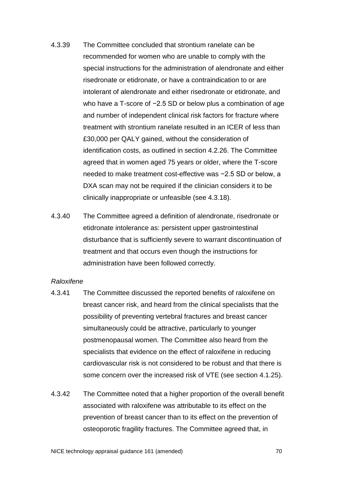- 4.3.39 The Committee concluded that strontium ranelate can be recommended for women who are unable to comply with the special instructions for the administration of alendronate and either risedronate or etidronate, or have a contraindication to or are intolerant of alendronate and either risedronate or etidronate, and who have a T-score of −2.5 SD or below plus a combination of age and number of independent clinical risk factors for fracture where treatment with strontium ranelate resulted in an ICER of less than £30,000 per QALY gained, without the consideration of identification costs, as outlined in section 4.2.26. The Committee agreed that in women aged 75 years or older, where the T-score needed to make treatment cost-effective was −2.5 SD or below, a DXA scan may not be required if the clinician considers it to be clinically inappropriate or unfeasible (see 4.3.18).
- 4.3.40 The Committee agreed a definition of alendronate, risedronate or etidronate intolerance as: persistent upper gastrointestinal disturbance that is sufficiently severe to warrant discontinuation of treatment and that occurs even though the instructions for administration have been followed correctly.

#### *Raloxifene*

- 4.3.41 The Committee discussed the reported benefits of raloxifene on breast cancer risk, and heard from the clinical specialists that the possibility of preventing vertebral fractures and breast cancer simultaneously could be attractive, particularly to younger postmenopausal women. The Committee also heard from the specialists that evidence on the effect of raloxifene in reducing cardiovascular risk is not considered to be robust and that there is some concern over the increased risk of VTE (see section 4.1.25).
- 4.3.42 The Committee noted that a higher proportion of the overall benefit associated with raloxifene was attributable to its effect on the prevention of breast cancer than to its effect on the prevention of osteoporotic fragility fractures. The Committee agreed that, in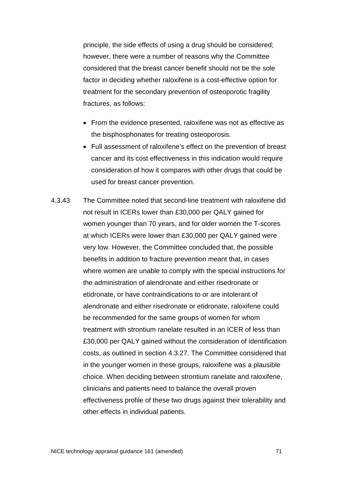principle, the side effects of using a drug should be considered; however, there were a number of reasons why the Committee considered that the breast cancer benefit should not be the sole factor in deciding whether raloxifene is a cost-effective option for treatment for the secondary prevention of osteoporotic fragility fractures, as follows:

- From the evidence presented, raloxifene was not as effective as the bisphosphonates for treating osteoporosis.
- Full assessment of raloxifene's effect on the prevention of breast cancer and its cost effectiveness in this indication would require consideration of how it compares with other drugs that could be used for breast cancer prevention.
- 4.3.43 The Committee noted that second-line treatment with raloxifene did not result in ICERs lower than £30,000 per QALY gained for women younger than 70 years, and for older women the T-scores at which ICERs were lower than £30,000 per QALY gained were very low. However, the Committee concluded that, the possible benefits in addition to fracture prevention meant that, in cases where women are unable to comply with the special instructions for the administration of alendronate and either risedronate or etidronate, or have contraindications to or are intolerant of alendronate and either risedronate or etidronate, raloxifene could be recommended for the same groups of women for whom treatment with strontium ranelate resulted in an ICER of less than £30,000 per QALY gained without the consideration of identification costs, as outlined in section [4.3.27.](#page-63-0) The Committee considered that in the younger women in these groups, raloxifene was a plausible choice. When deciding between strontium ranelate and raloxifene, clinicians and patients need to balance the overall proven effectiveness profile of these two drugs against their tolerability and other effects in individual patients.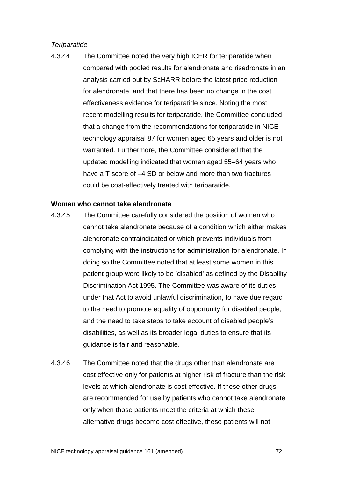# *Teriparatide*

4.3.44 The Committee noted the very high ICER for teriparatide when compared with pooled results for alendronate and risedronate in an analysis carried out by ScHARR before the latest price reduction for alendronate, and that there has been no change in the cost effectiveness evidence for teriparatide since. Noting the most recent modelling results for teriparatide, the Committee concluded that a change from the recommendations for teriparatide in NICE technology appraisal 87 for women aged 65 years and older is not warranted. Furthermore, the Committee considered that the updated modelling indicated that women aged 55–64 years who have a T score of  $-4$  SD or below and more than two fractures could be cost-effectively treated with teriparatide.

#### **Women who cannot take alendronate**

- 4.3.45 The Committee carefully considered the position of women who cannot take alendronate because of a condition which either makes alendronate contraindicated or which prevents individuals from complying with the instructions for administration for alendronate. In doing so the Committee noted that at least some women in this patient group were likely to be 'disabled' as defined by the Disability Discrimination Act 1995. The Committee was aware of its duties under that Act to avoid unlawful discrimination, to have due regard to the need to promote equality of opportunity for disabled people, and the need to take steps to take account of disabled people's disabilities, as well as its broader legal duties to ensure that its guidance is fair and reasonable.
- 4.3.46 The Committee noted that the drugs other than alendronate are cost effective only for patients at higher risk of fracture than the risk levels at which alendronate is cost effective. If these other drugs are recommended for use by patients who cannot take alendronate only when those patients meet the criteria at which these alternative drugs become cost effective, these patients will not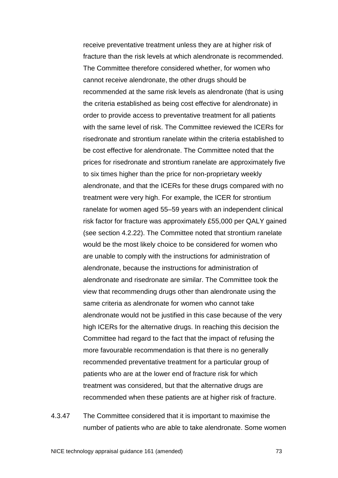receive preventative treatment unless they are at higher risk of fracture than the risk levels at which alendronate is recommended. The Committee therefore considered whether, for women who cannot receive alendronate, the other drugs should be recommended at the same risk levels as alendronate (that is using the criteria established as being cost effective for alendronate) in order to provide access to preventative treatment for all patients with the same level of risk. The Committee reviewed the ICERs for risedronate and strontium ranelate within the criteria established to be cost effective for alendronate. The Committee noted that the prices for risedronate and strontium ranelate are approximately five to six times higher than the price for non-proprietary weekly alendronate, and that the ICERs for these drugs compared with no treatment were very high. For example, the ICER for strontium ranelate for women aged 55–59 years with an independent clinical risk factor for fracture was approximately £55,000 per QALY gained (see section 4.2.22). The Committee noted that strontium ranelate would be the most likely choice to be considered for women who are unable to comply with the instructions for administration of alendronate, because the instructions for administration of alendronate and risedronate are similar. The Committee took the view that recommending drugs other than alendronate using the same criteria as alendronate for women who cannot take alendronate would not be justified in this case because of the very high ICERs for the alternative drugs. In reaching this decision the Committee had regard to the fact that the impact of refusing the more favourable recommendation is that there is no generally recommended preventative treatment for a particular group of patients who are at the lower end of fracture risk for which treatment was considered, but that the alternative drugs are recommended when these patients are at higher risk of fracture.

4.3.47 The Committee considered that it is important to maximise the number of patients who are able to take alendronate. Some women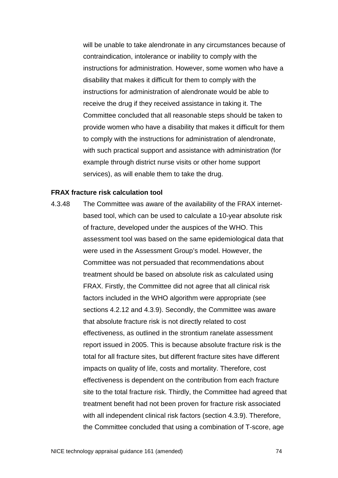will be unable to take alendronate in any circumstances because of contraindication, intolerance or inability to comply with the instructions for administration. However, some women who have a disability that makes it difficult for them to comply with the instructions for administration of alendronate would be able to receive the drug if they received assistance in taking it. The Committee concluded that all reasonable steps should be taken to provide women who have a disability that makes it difficult for them to comply with the instructions for administration of alendronate, with such practical support and assistance with administration (for example through district nurse visits or other home support services), as will enable them to take the drug.

#### **FRAX fracture risk calculation tool**

<span id="page-73-0"></span>4.3.48 The Committee was aware of the availability of the FRAX internetbased tool, which can be used to calculate a 10-year absolute risk of fracture, developed under the auspices of the WHO. This assessment tool was based on the same epidemiological data that were used in the Assessment Group's model. However, the Committee was not persuaded that recommendations about treatment should be based on absolute risk as calculated using FRAX. Firstly, the Committee did not agree that all clinical risk factors included in the WHO algorithm were appropriate (see sections 4.2.12 and 4.3.9). Secondly, the Committee was aware that absolute fracture risk is not directly related to cost effectiveness, as outlined in the strontium ranelate assessment report issued in 2005. This is because absolute fracture risk is the total for all fracture sites, but different fracture sites have different impacts on quality of life, costs and mortality. Therefore, cost effectiveness is dependent on the contribution from each fracture site to the total fracture risk. Thirdly, the Committee had agreed that treatment benefit had not been proven for fracture risk associated with all independent clinical risk factors (section 4.3.9). Therefore, the Committee concluded that using a combination of T-score, age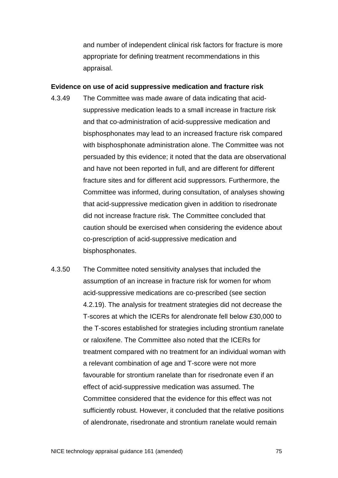and number of independent clinical risk factors for fracture is more appropriate for defining treatment recommendations in this appraisal.

#### **Evidence on use of acid suppressive medication and fracture risk**

- 4.3.49 The Committee was made aware of data indicating that acidsuppressive medication leads to a small increase in fracture risk and that co-administration of acid-suppressive medication and bisphosphonates may lead to an increased fracture risk compared with bisphosphonate administration alone. The Committee was not persuaded by this evidence; it noted that the data are observational and have not been reported in full, and are different for different fracture sites and for different acid suppressors. Furthermore, the Committee was informed, during consultation, of analyses showing that acid-suppressive medication given in addition to risedronate did not increase fracture risk. The Committee concluded that caution should be exercised when considering the evidence about co-prescription of acid-suppressive medication and bisphosphonates.
- 4.3.50 The Committee noted sensitivity analyses that included the assumption of an increase in fracture risk for women for whom acid-suppressive medications are co-prescribed (see section 4.2.19). The analysis for treatment strategies did not decrease the T-scores at which the ICERs for alendronate fell below £30,000 to the T-scores established for strategies including strontium ranelate or raloxifene. The Committee also noted that the ICERs for treatment compared with no treatment for an individual woman with a relevant combination of age and T-score were not more favourable for strontium ranelate than for risedronate even if an effect of acid-suppressive medication was assumed. The Committee considered that the evidence for this effect was not sufficiently robust. However, it concluded that the relative positions of alendronate, risedronate and strontium ranelate would remain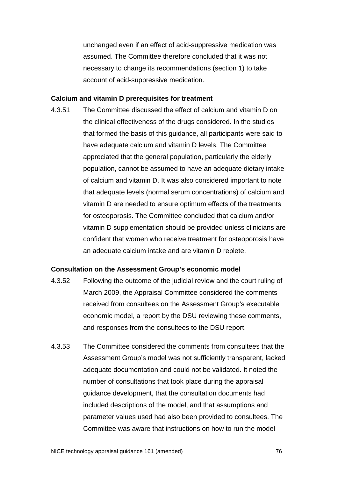unchanged even if an effect of acid-suppressive medication was assumed. The Committee therefore concluded that it was not necessary to change its recommendations (section 1) to take account of acid-suppressive medication.

#### **Calcium and vitamin D prerequisites for treatment**

<span id="page-75-0"></span>4.3.51 The Committee discussed the effect of calcium and vitamin D on the clinical effectiveness of the drugs considered. In the studies that formed the basis of this guidance, all participants were said to have adequate calcium and vitamin D levels. The Committee appreciated that the general population, particularly the elderly population, cannot be assumed to have an adequate dietary intake of calcium and vitamin D. It was also considered important to note that adequate levels (normal serum concentrations) of calcium and vitamin D are needed to ensure optimum effects of the treatments for osteoporosis. The Committee concluded that calcium and/or vitamin D supplementation should be provided unless clinicians are confident that women who receive treatment for osteoporosis have an adequate calcium intake and are vitamin D replete.

#### **Consultation on the Assessment Group's economic model**

- 4.3.52 Following the outcome of the judicial review and the court ruling of March 2009, the Appraisal Committee considered the comments received from consultees on the Assessment Group's executable economic model, a report by the DSU reviewing these comments, and responses from the consultees to the DSU report.
- 4.3.53 The Committee considered the comments from consultees that the Assessment Group's model was not sufficiently transparent, lacked adequate documentation and could not be validated. It noted the number of consultations that took place during the appraisal guidance development, that the consultation documents had included descriptions of the model, and that assumptions and parameter values used had also been provided to consultees. The Committee was aware that instructions on how to run the model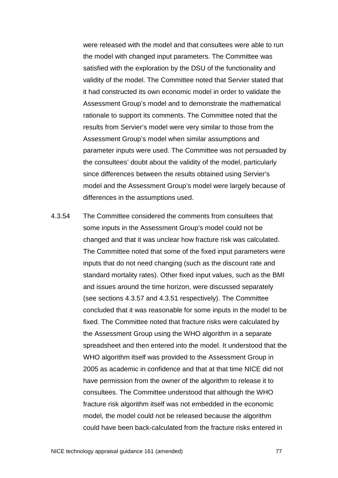were released with the model and that consultees were able to run the model with changed input parameters. The Committee was satisfied with the exploration by the DSU of the functionality and validity of the model. The Committee noted that Servier stated that it had constructed its own economic model in order to validate the Assessment Group's model and to demonstrate the mathematical rationale to support its comments. The Committee noted that the results from Servier's model were very similar to those from the Assessment Group's model when similar assumptions and parameter inputs were used. The Committee was not persuaded by the consultees' doubt about the validity of the model, particularly since differences between the results obtained using Servier's model and the Assessment Group's model were largely because of differences in the assumptions used.

4.3.54 The Committee considered the comments from consultees that some inputs in the Assessment Group's model could not be changed and that it was unclear how fracture risk was calculated. The Committee noted that some of the fixed input parameters were inputs that do not need changing (such as the discount rate and standard mortality rates). Other fixed input values, such as the BMI and issues around the time horizon, were discussed separately (see sections [4.3.57](#page-78-0) and [4.3.51](#page-75-0) respectively). The Committee concluded that it was reasonable for some inputs in the model to be fixed. The Committee noted that fracture risks were calculated by the Assessment Group using the WHO algorithm in a separate spreadsheet and then entered into the model. It understood that the WHO algorithm itself was provided to the Assessment Group in 2005 as academic in confidence and that at that time NICE did not have permission from the owner of the algorithm to release it to consultees. The Committee understood that although the WHO fracture risk algorithm itself was not embedded in the economic model, the model could not be released because the algorithm could have been back-calculated from the fracture risks entered in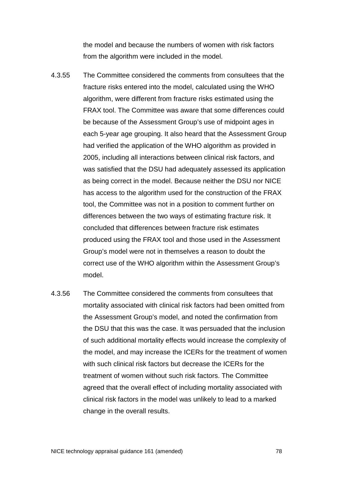the model and because the numbers of women with risk factors from the algorithm were included in the model.

- 4.3.55 The Committee considered the comments from consultees that the fracture risks entered into the model, calculated using the WHO algorithm, were different from fracture risks estimated using the FRAX tool. The Committee was aware that some differences could be because of the Assessment Group's use of midpoint ages in each 5-year age grouping. It also heard that the Assessment Group had verified the application of the WHO algorithm as provided in 2005, including all interactions between clinical risk factors, and was satisfied that the DSU had adequately assessed its application as being correct in the model. Because neither the DSU nor NICE has access to the algorithm used for the construction of the FRAX tool, the Committee was not in a position to comment further on differences between the two ways of estimating fracture risk. It concluded that differences between fracture risk estimates produced using the FRAX tool and those used in the Assessment Group's model were not in themselves a reason to doubt the correct use of the WHO algorithm within the Assessment Group's model.
- 4.3.56 The Committee considered the comments from consultees that mortality associated with clinical risk factors had been omitted from the Assessment Group's model, and noted the confirmation from the DSU that this was the case. It was persuaded that the inclusion of such additional mortality effects would increase the complexity of the model, and may increase the ICERs for the treatment of women with such clinical risk factors but decrease the ICERs for the treatment of women without such risk factors. The Committee agreed that the overall effect of including mortality associated with clinical risk factors in the model was unlikely to lead to a marked change in the overall results.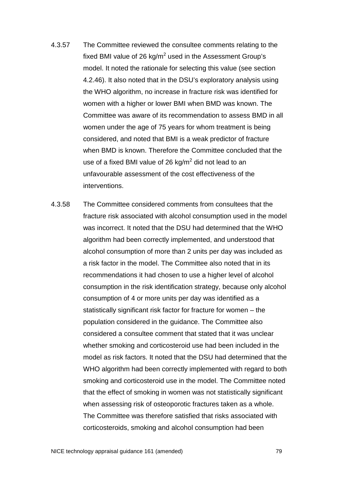- <span id="page-78-0"></span>4.3.57 The Committee reviewed the consultee comments relating to the fixed BMI value of 26 kg/ $m^2$  used in the Assessment Group's model. It noted the rationale for selecting this value (see section 4.2.46). It also noted that in the DSU's exploratory analysis using the WHO algorithm, no increase in fracture risk was identified for women with a higher or lower BMI when BMD was known. The Committee was aware of its recommendation to assess BMD in all women under the age of 75 years for whom treatment is being considered, and noted that BMI is a weak predictor of fracture when BMD is known. Therefore the Committee concluded that the use of a fixed BMI value of 26 kg/ $m^2$  did not lead to an unfavourable assessment of the cost effectiveness of the interventions.
- 4.3.58 The Committee considered comments from consultees that the fracture risk associated with alcohol consumption used in the model was incorrect. It noted that the DSU had determined that the WHO algorithm had been correctly implemented, and understood that alcohol consumption of more than 2 units per day was included as a risk factor in the model. The Committee also noted that in its recommendations it had chosen to use a higher level of alcohol consumption in the risk identification strategy, because only alcohol consumption of 4 or more units per day was identified as a statistically significant risk factor for fracture for women – the population considered in the guidance. The Committee also considered a consultee comment that stated that it was unclear whether smoking and corticosteroid use had been included in the model as risk factors. It noted that the DSU had determined that the WHO algorithm had been correctly implemented with regard to both smoking and corticosteroid use in the model. The Committee noted that the effect of smoking in women was not statistically significant when assessing risk of osteoporotic fractures taken as a whole. The Committee was therefore satisfied that risks associated with corticosteroids, smoking and alcohol consumption had been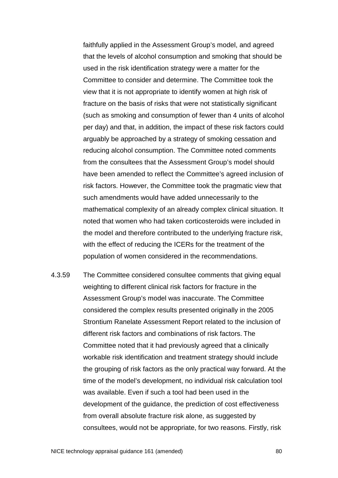faithfully applied in the Assessment Group's model, and agreed that the levels of alcohol consumption and smoking that should be used in the risk identification strategy were a matter for the Committee to consider and determine. The Committee took the view that it is not appropriate to identify women at high risk of fracture on the basis of risks that were not statistically significant (such as smoking and consumption of fewer than 4 units of alcohol per day) and that, in addition, the impact of these risk factors could arguably be approached by a strategy of smoking cessation and reducing alcohol consumption. The Committee noted comments from the consultees that the Assessment Group's model should have been amended to reflect the Committee's agreed inclusion of risk factors. However, the Committee took the pragmatic view that such amendments would have added unnecessarily to the mathematical complexity of an already complex clinical situation. It noted that women who had taken corticosteroids were included in the model and therefore contributed to the underlying fracture risk, with the effect of reducing the ICERs for the treatment of the population of women considered in the recommendations.

4.3.59 The Committee considered consultee comments that giving equal weighting to different clinical risk factors for fracture in the Assessment Group's model was inaccurate. The Committee considered the complex results presented originally in the 2005 Strontium Ranelate Assessment Report related to the inclusion of different risk factors and combinations of risk factors. The Committee noted that it had previously agreed that a clinically workable risk identification and treatment strategy should include the grouping of risk factors as the only practical way forward. At the time of the model's development, no individual risk calculation tool was available. Even if such a tool had been used in the development of the guidance, the prediction of cost effectiveness from overall absolute fracture risk alone, as suggested by consultees, would not be appropriate, for two reasons. Firstly, risk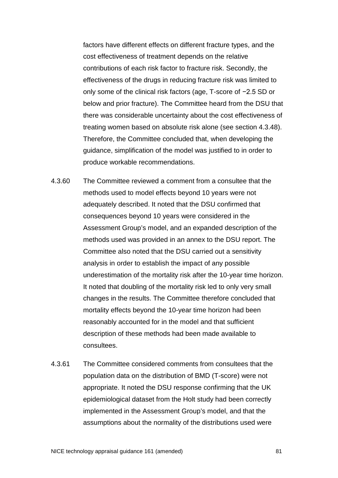factors have different effects on different fracture types, and the cost effectiveness of treatment depends on the relative contributions of each risk factor to fracture risk. Secondly, the effectiveness of the drugs in reducing fracture risk was limited to only some of the clinical risk factors (age, T-score of −2.5 SD or below and prior fracture). The Committee heard from the DSU that there was considerable uncertainty about the cost effectiveness of treating women based on absolute risk alone (see section [4.3.48\)](#page-73-0). Therefore, the Committee concluded that, when developing the guidance, simplification of the model was justified to in order to produce workable recommendations.

- 4.3.60 The Committee reviewed a comment from a consultee that the methods used to model effects beyond 10 years were not adequately described. It noted that the DSU confirmed that consequences beyond 10 years were considered in the Assessment Group's model, and an expanded description of the methods used was provided in an annex to the DSU report. The Committee also noted that the DSU carried out a sensitivity analysis in order to establish the impact of any possible underestimation of the mortality risk after the 10-year time horizon. It noted that doubling of the mortality risk led to only very small changes in the results. The Committee therefore concluded that mortality effects beyond the 10-year time horizon had been reasonably accounted for in the model and that sufficient description of these methods had been made available to consultees.
- 4.3.61 The Committee considered comments from consultees that the population data on the distribution of BMD (T-score) were not appropriate. It noted the DSU response confirming that the UK epidemiological dataset from the Holt study had been correctly implemented in the Assessment Group's model, and that the assumptions about the normality of the distributions used were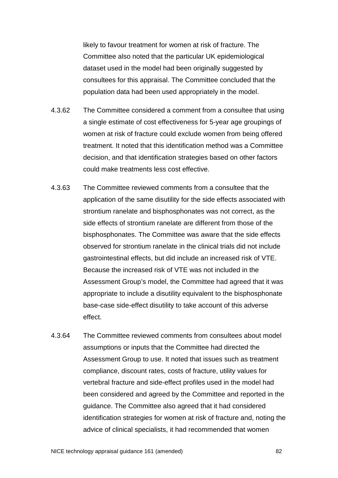likely to favour treatment for women at risk of fracture. The Committee also noted that the particular UK epidemiological dataset used in the model had been originally suggested by consultees for this appraisal. The Committee concluded that the population data had been used appropriately in the model.

- 4.3.62 The Committee considered a comment from a consultee that using a single estimate of cost effectiveness for 5-year age groupings of women at risk of fracture could exclude women from being offered treatment. It noted that this identification method was a Committee decision, and that identification strategies based on other factors could make treatments less cost effective.
- 4.3.63 The Committee reviewed comments from a consultee that the application of the same disutility for the side effects associated with strontium ranelate and bisphosphonates was not correct, as the side effects of strontium ranelate are different from those of the bisphosphonates. The Committee was aware that the side effects observed for strontium ranelate in the clinical trials did not include gastrointestinal effects, but did include an increased risk of VTE. Because the increased risk of VTE was not included in the Assessment Group's model, the Committee had agreed that it was appropriate to include a disutility equivalent to the bisphosphonate base-case side-effect disutility to take account of this adverse effect.
- 4.3.64 The Committee reviewed comments from consultees about model assumptions or inputs that the Committee had directed the Assessment Group to use. It noted that issues such as treatment compliance, discount rates, costs of fracture, utility values for vertebral fracture and side-effect profiles used in the model had been considered and agreed by the Committee and reported in the guidance. The Committee also agreed that it had considered identification strategies for women at risk of fracture and, noting the advice of clinical specialists, it had recommended that women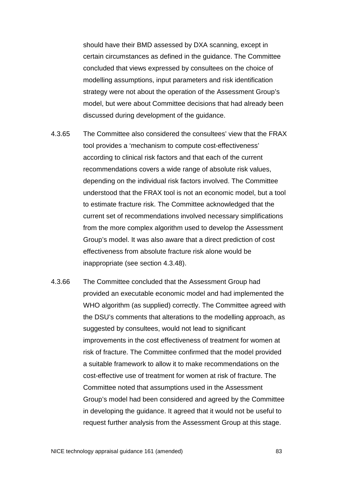should have their BMD assessed by DXA scanning, except in certain circumstances as defined in the guidance. The Committee concluded that views expressed by consultees on the choice of modelling assumptions, input parameters and risk identification strategy were not about the operation of the Assessment Group's model, but were about Committee decisions that had already been discussed during development of the guidance.

- 4.3.65 The Committee also considered the consultees' view that the FRAX tool provides a 'mechanism to compute cost-effectiveness' according to clinical risk factors and that each of the current recommendations covers a wide range of absolute risk values, depending on the individual risk factors involved. The Committee understood that the FRAX tool is not an economic model, but a tool to estimate fracture risk. The Committee acknowledged that the current set of recommendations involved necessary simplifications from the more complex algorithm used to develop the Assessment Group's model. It was also aware that a direct prediction of cost effectiveness from absolute fracture risk alone would be inappropriate (see section [4.3.48\)](#page-73-0).
- 4.3.66 The Committee concluded that the Assessment Group had provided an executable economic model and had implemented the WHO algorithm (as supplied) correctly. The Committee agreed with the DSU's comments that alterations to the modelling approach, as suggested by consultees, would not lead to significant improvements in the cost effectiveness of treatment for women at risk of fracture. The Committee confirmed that the model provided a suitable framework to allow it to make recommendations on the cost-effective use of treatment for women at risk of fracture. The Committee noted that assumptions used in the Assessment Group's model had been considered and agreed by the Committee in developing the guidance. It agreed that it would not be useful to request further analysis from the Assessment Group at this stage.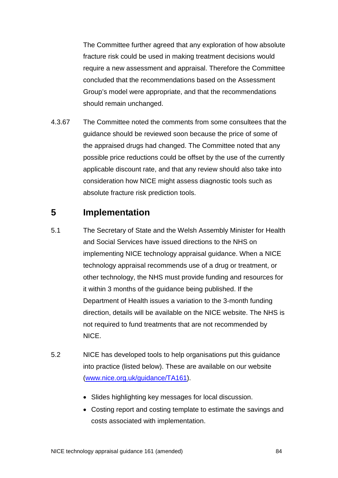The Committee further agreed that any exploration of how absolute fracture risk could be used in making treatment decisions would require a new assessment and appraisal. Therefore the Committee concluded that the recommendations based on the Assessment Group's model were appropriate, and that the recommendations should remain unchanged.

4.3.67 The Committee noted the comments from some consultees that the guidance should be reviewed soon because the price of some of the appraised drugs had changed. The Committee noted that any possible price reductions could be offset by the use of the currently applicable discount rate, and that any review should also take into consideration how NICE might assess diagnostic tools such as absolute fracture risk prediction tools.

## **5 Implementation**

- 5.1 The Secretary of State and the Welsh Assembly Minister for Health and Social Services have issued directions to the NHS on implementing NICE technology appraisal guidance. When a NICE technology appraisal recommends use of a drug or treatment, or other technology, the NHS must provide funding and resources for it within 3 months of the guidance being published. If the Department of Health issues a variation to the 3-month funding direction, details will be available on the NICE website. The NHS is not required to fund treatments that are not recommended by NICE.
- 5.2 NICE has developed tools to help organisations put this guidance into practice (listed below). These are available on our website [\(www.nice.org.uk/guidance/TA161\)](http://www.nice.org.uk/guidance/TA161).
	- Slides highlighting key messages for local discussion.
	- Costing report and costing template to estimate the savings and costs associated with implementation.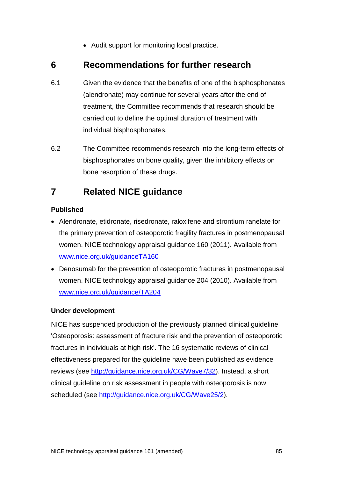• Audit support for monitoring local practice.

## **6 Recommendations for further research**

- 6.1 Given the evidence that the benefits of one of the bisphosphonates (alendronate) may continue for several years after the end of treatment, the Committee recommends that research should be carried out to define the optimal duration of treatment with individual bisphosphonates.
- 6.2 The Committee recommends research into the long-term effects of bisphosphonates on bone quality, given the inhibitory effects on bone resorption of these drugs.

# **7 Related NICE guidance**

#### **Published**

- Alendronate, etidronate, risedronate, raloxifene and strontium ranelate for the primary prevention of osteoporotic fragility fractures in postmenopausal women. NICE technology appraisal guidance 160 (2011). Available from [www.nice.org.uk/guidanceTA160](http://www.nice.org.uk/guidanceTA160)
- Denosumab for the prevention of osteoporotic fractures in postmenopausal women. NICE technology appraisal guidance 204 (2010). Available from [www.nice.org.uk/guidance/TA204](http://www.nice.org.uk/guidance/TA204)

#### **Under development**

NICE has suspended production of the previously planned clinical guideline 'Osteoporosis: assessment of fracture risk and the prevention of osteoporotic fractures in individuals at high risk'. The 16 systematic reviews of clinical effectiveness prepared for the guideline have been published as evidence reviews (see [http://guidance.nice.org.uk/CG/Wave7/32\)](http://guidance.nice.org.uk/CG/Wave7/32). Instead, a short clinical guideline on risk assessment in people with osteoporosis is now scheduled (see [http://guidance.nice.org.uk/CG/Wave25/2\)](http://guidance.nice.org.uk/CG/Wave25/2).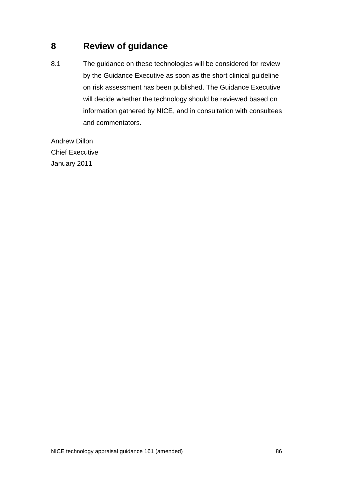# **8 Review of guidance**

8.1 The guidance on these technologies will be considered for review by the Guidance Executive as soon as the short clinical guideline on risk assessment has been published. The Guidance Executive will decide whether the technology should be reviewed based on information gathered by NICE, and in consultation with consultees and commentators.

Andrew Dillon Chief Executive January 2011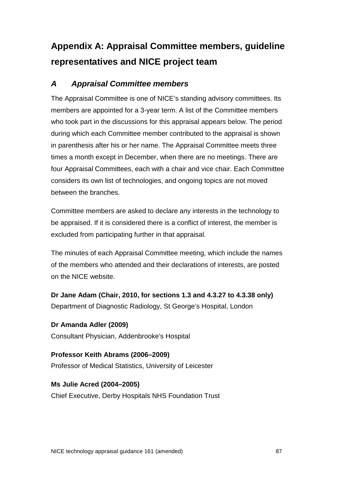# **Appendix A: Appraisal Committee members, guideline representatives and NICE project team**

## *A Appraisal Committee members*

The Appraisal Committee is one of NICE's standing advisory committees. Its members are appointed for a 3-year term. A list of the Committee members who took part in the discussions for this appraisal appears below. The period during which each Committee member contributed to the appraisal is shown in parenthesis after his or her name. The Appraisal Committee meets three times a month except in December, when there are no meetings. There are four Appraisal Committees, each with a chair and vice chair. Each Committee considers its own list of technologies, and ongoing topics are not moved between the branches.

Committee members are asked to declare any interests in the technology to be appraised. If it is considered there is a conflict of interest, the member is excluded from participating further in that appraisal.

The minutes of each Appraisal Committee meeting, which include the names of the members who attended and their declarations of interests, are posted on the NICE website.

**Dr Jane Adam (Chair, 2010, for sections [1.3](#page-5-0) and [4.3.27](#page-63-0) to [4.3.38](#page-68-0) only)** Department of Diagnostic Radiology, St George's Hospital, London

**Dr Amanda Adler (2009)** Consultant Physician, Addenbrooke's Hospital

**Professor Keith Abrams (2006–2009)** Professor of Medical Statistics, University of Leicester

**Ms Julie Acred (2004–2005)** Chief Executive, Derby Hospitals NHS Foundation Trust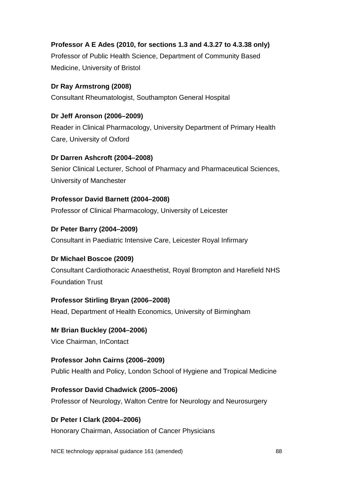# **Professor A E Ades (2010, for sections [1.3](#page-5-0) and [4.3.27](#page-63-0) to [4.3.38](#page-68-0) only)**

Professor of Public Health Science, Department of Community Based Medicine, University of Bristol

## **Dr Ray Armstrong (2008)**

Consultant Rheumatologist, Southampton General Hospital

## **Dr Jeff Aronson (2006–2009)**

Reader in Clinical Pharmacology, University Department of Primary Health Care, University of Oxford

## **Dr Darren Ashcroft (2004–2008)**

Senior Clinical Lecturer, School of Pharmacy and Pharmaceutical Sciences, University of Manchester

## **Professor David Barnett (2004–2008)**

Professor of Clinical Pharmacology, University of Leicester

## **Dr Peter Barry (2004–2009)**

Consultant in Paediatric Intensive Care, Leicester Royal Infirmary

## **Dr Michael Boscoe (2009)**

Consultant Cardiothoracic Anaesthetist, Royal Brompton and Harefield NHS Foundation Trust

## **Professor Stirling Bryan (2006–2008)**

Head, Department of Health Economics, University of Birmingham

## **Mr Brian Buckley (2004–2006)**

Vice Chairman, InContact

## **Professor John Cairns (2006–2009)**

Public Health and Policy, London School of Hygiene and Tropical Medicine

## **Professor David Chadwick (2005–2006)**

Professor of Neurology, Walton Centre for Neurology and Neurosurgery

## **Dr Peter I Clark (2004–2006)**

Honorary Chairman, Association of Cancer Physicians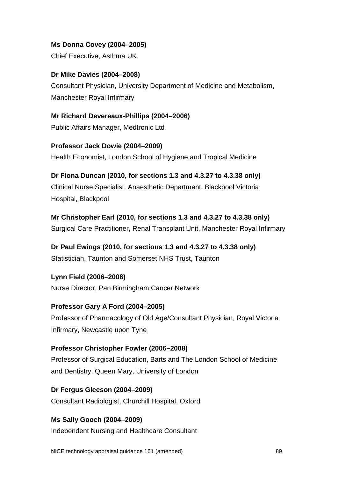**Ms Donna Covey (2004–2005)** 

Chief Executive, Asthma UK

**Dr Mike Davies (2004–2008)**  Consultant Physician, University Department of Medicine and Metabolism, Manchester Royal Infirmary

**Mr Richard Devereaux-Phillips (2004–2006)**  Public Affairs Manager, Medtronic Ltd

**Professor Jack Dowie (2004–2009)**  Health Economist, London School of Hygiene and Tropical Medicine

**Dr Fiona Duncan (2010, for sections [1.3](#page-5-0) and [4.3.27](#page-63-0) to [4.3.38](#page-68-0) only)** Clinical Nurse Specialist, Anaesthetic Department, Blackpool Victoria Hospital, Blackpool

**Mr Christopher Earl (2010, for sections [1.3](#page-5-0) and [4.3.27](#page-63-0) to [4.3.38](#page-68-0) only)** Surgical Care Practitioner, Renal Transplant Unit, Manchester Royal Infirmary

**Dr Paul Ewings (2010, for sections [1.3](#page-5-0) and [4.3.27](#page-63-0) to [4.3.38](#page-68-0) only)** Statistician, Taunton and Somerset NHS Trust, Taunton

**Lynn Field (2006–2008)**  Nurse Director, Pan Birmingham Cancer Network

**Professor Gary A Ford (2004–2005)**  Professor of Pharmacology of Old Age/Consultant Physician, Royal Victoria Infirmary, Newcastle upon Tyne

**Professor Christopher Fowler (2006–2008)** Professor of Surgical Education, Barts and The London School of Medicine and Dentistry, Queen Mary, University of London

**Dr Fergus Gleeson (2004–2009)**  Consultant Radiologist, Churchill Hospital, Oxford

**Ms Sally Gooch (2004–2009)**  Independent Nursing and Healthcare Consultant

NICE technology appraisal guidance 161 (amended) 89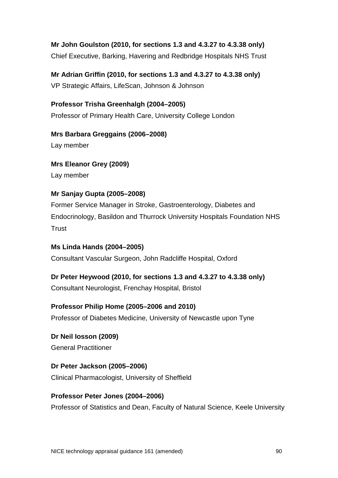## **Mr John Goulston (2010, for sections [1.3](#page-5-0) and [4.3.27](#page-63-0) to [4.3.38](#page-68-0) only)**

Chief Executive, Barking, Havering and Redbridge Hospitals NHS Trust

**Mr Adrian Griffin (2010, for sections [1.3](#page-5-0) and [4.3.27](#page-63-0) to [4.3.38](#page-68-0) only)**  VP Strategic Affairs, LifeScan, Johnson & Johnson

**Professor Trisha Greenhalgh (2004–2005)**  Professor of Primary Health Care, University College London

**Mrs Barbara Greggains (2006–2008)**  Lay member

**Mrs Eleanor Grey (2009)** Lay member

#### **Mr Sanjay Gupta (2005–2008)**

Former Service Manager in Stroke, Gastroenterology, Diabetes and Endocrinology, Basildon and Thurrock University Hospitals Foundation NHS **Trust** 

**Ms Linda Hands (2004–2005)**  Consultant Vascular Surgeon, John Radcliffe Hospital, Oxford

**Dr Peter Heywood (2010, for sections [1.3](#page-5-0) and [4.3.27](#page-63-0) to [4.3.38](#page-68-0) only)**

Consultant Neurologist, Frenchay Hospital, Bristol

**Professor Philip Home (2005–2006 and 2010)** 

Professor of Diabetes Medicine, University of Newcastle upon Tyne

**Dr Neil Iosson (2009)** General Practitioner

**Dr Peter Jackson (2005–2006)**  Clinical Pharmacologist, University of Sheffield

**Professor Peter Jones (2004–2006)** 

Professor of Statistics and Dean, Faculty of Natural Science, Keele University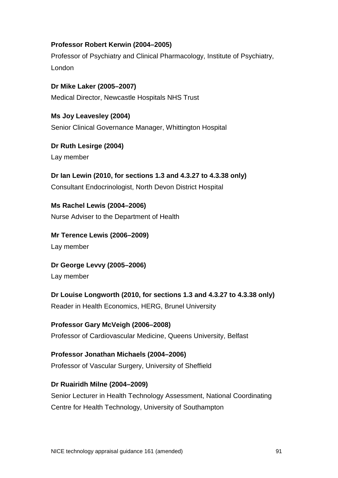#### **Professor Robert Kerwin (2004–2005)**

Professor of Psychiatry and Clinical Pharmacology, Institute of Psychiatry, London

**Dr Mike Laker (2005–2007)**  Medical Director, Newcastle Hospitals NHS Trust

**Ms Joy Leavesley (2004)**  Senior Clinical Governance Manager, Whittington Hospital

**Dr Ruth Lesirge (2004)**  Lay member

**Dr Ian Lewin (2010, for sections [1.3](#page-5-0) and [4.3.27](#page-63-0) to [4.3.38](#page-68-0) only)** Consultant Endocrinologist, North Devon District Hospital

**Ms Rachel Lewis (2004–2006)**  Nurse Adviser to the Department of Health

**Mr Terence Lewis (2006–2009)**  Lay member

**Dr George Levvy (2005–2006)** 

Lay member

**Dr Louise Longworth (2010, for sections [1.3](#page-5-0) and [4.3.27](#page-63-0) to [4.3.38](#page-68-0) only)** Reader in Health Economics, HERG, Brunel University

**Professor Gary McVeigh (2006–2008)**  Professor of Cardiovascular Medicine, Queens University, Belfast

**Professor Jonathan Michaels (2004–2006)**  Professor of Vascular Surgery, University of Sheffield

#### **Dr Ruairidh Milne (2004–2009)**

Senior Lecturer in Health Technology Assessment, National Coordinating Centre for Health Technology, University of Southampton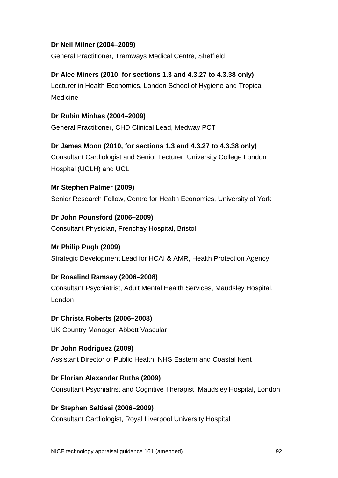#### **Dr Neil Milner (2004–2009)**

General Practitioner, Tramways Medical Centre, Sheffield

**Dr Alec Miners (2010, for sections [1.3](#page-5-0) and [4.3.27](#page-63-0) to [4.3.38](#page-68-0) only)** Lecturer in Health Economics, London School of Hygiene and Tropical Medicine

**Dr Rubin Minhas (2004–2009)**  General Practitioner, CHD Clinical Lead, Medway PCT

**Dr James Moon (2010, for sections [1.3](#page-5-0) and [4.3.27](#page-63-0) to [4.3.38](#page-68-0) only)** Consultant Cardiologist and Senior Lecturer, University College London Hospital (UCLH) and UCL

**Mr Stephen Palmer (2009)** Senior Research Fellow, Centre for Health Economics, University of York

**Dr John Pounsford (2006–2009)** 

Consultant Physician, Frenchay Hospital, Bristol

#### **Mr Philip Pugh (2009)**

Strategic Development Lead for HCAI & AMR, Health Protection Agency

#### **Dr Rosalind Ramsay (2006–2008)**

Consultant Psychiatrist, Adult Mental Health Services, Maudsley Hospital, London

## **Dr Christa Roberts (2006–2008)**

UK Country Manager, Abbott Vascular

**Dr John Rodriguez (2009)**

Assistant Director of Public Health, NHS Eastern and Coastal Kent

#### **Dr Florian Alexander Ruths (2009)**

Consultant Psychiatrist and Cognitive Therapist, Maudsley Hospital, London

#### **Dr Stephen Saltissi (2006–2009)**

Consultant Cardiologist, Royal Liverpool University Hospital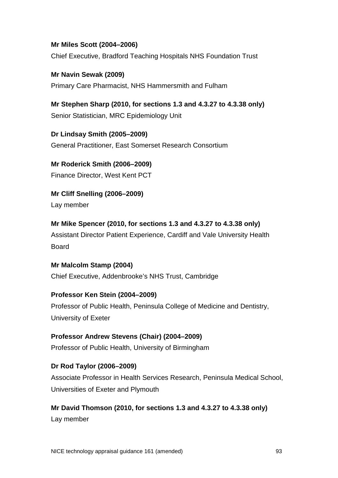#### **Mr Miles Scott (2004–2006)**

Chief Executive, Bradford Teaching Hospitals NHS Foundation Trust

**Mr Navin Sewak (2009)** Primary Care Pharmacist, NHS Hammersmith and Fulham

**Mr Stephen Sharp (2010, for sections [1.3](#page-5-0) and [4.3.27](#page-63-0) to [4.3.38](#page-68-0) only)** Senior Statistician, MRC Epidemiology Unit

**Dr Lindsay Smith (2005–2009)**  General Practitioner, East Somerset Research Consortium

**Mr Roderick Smith (2006–2009)**  Finance Director, West Kent PCT

**Mr Cliff Snelling (2006–2009)**  Lay member

**Mr Mike Spencer (2010, for sections [1.3](#page-5-0) and [4.3.27](#page-63-0) to [4.3.38](#page-68-0) only)** Assistant Director Patient Experience, Cardiff and Vale University Health Board

## **Mr Malcolm Stamp (2004)**  Chief Executive, Addenbrooke's NHS Trust, Cambridge

#### **Professor Ken Stein (2004–2009)**

Professor of Public Health, Peninsula College of Medicine and Dentistry, University of Exeter

## **Professor Andrew Stevens (Chair) (2004–2009)**  Professor of Public Health, University of Birmingham

#### **Dr Rod Taylor (2006–2009)**

Associate Professor in Health Services Research, Peninsula Medical School, Universities of Exeter and Plymouth

#### **Mr David Thomson (2010, for sections [1.3](#page-5-0) and [4.3.27](#page-63-0) to [4.3.38](#page-68-0) only)**

Lay member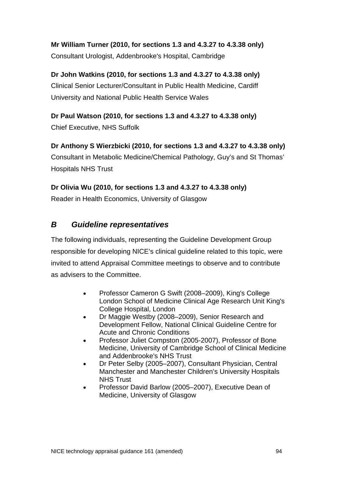**Mr William Turner (2010, for sections [1.3](#page-5-0) and [4.3.27](#page-63-0) to [4.3.38](#page-68-0) only)** Consultant Urologist, Addenbrooke's Hospital, Cambridge

**Dr John Watkins (2010, for sections [1.3](#page-5-0) and [4.3.27](#page-63-0) to [4.3.38](#page-68-0) only)** Clinical Senior Lecturer/Consultant in Public Health Medicine, Cardiff University and National Public Health Service Wales

**Dr Paul Watson (2010, for sections [1.3](#page-5-0) and [4.3.27](#page-63-0) to [4.3.38](#page-68-0) only)** Chief Executive, NHS Suffolk

**Dr Anthony S Wierzbicki (2010, for sections [1.3](#page-5-0) and [4.3.27](#page-63-0) to [4.3.38](#page-68-0) only)** Consultant in Metabolic Medicine/Chemical Pathology, Guy's and St Thomas' Hospitals NHS Trust

**Dr Olivia Wu (2010, for sections [1.3](#page-5-0) and [4.3.27](#page-63-0) to [4.3.38](#page-68-0) only)**

Reader in Health Economics, University of Glasgow

## *B Guideline representatives*

The following individuals, representing the Guideline Development Group responsible for developing NICE's clinical guideline related to this topic, were invited to attend Appraisal Committee meetings to observe and to contribute as advisers to the Committee.

- Professor Cameron G Swift (2008–2009), King's College London School of Medicine Clinical Age Research Unit King's College Hospital, London
- Dr Maggie Westby (2008–2009), Senior Research and Development Fellow, National Clinical Guideline Centre for Acute and Chronic Conditions
- Professor Juliet Compston (2005-2007), Professor of Bone Medicine, University of Cambridge School of Clinical Medicine and Addenbrooke's NHS Trust
- Dr Peter Selby (2005–2007), Consultant Physician, Central Manchester and Manchester Children's University Hospitals NHS Trust
- Professor David Barlow (2005–2007), Executive Dean of Medicine, University of Glasgow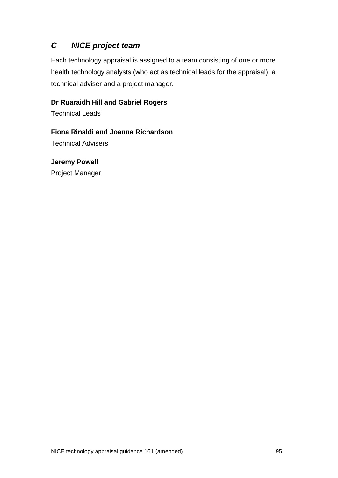## *C NICE project team*

Each technology appraisal is assigned to a team consisting of one or more health technology analysts (who act as technical leads for the appraisal), a technical adviser and a project manager.

#### **Dr Ruaraidh Hill and Gabriel Rogers**

Technical Leads

#### **Fiona Rinaldi and Joanna Richardson**

Technical Advisers

#### **Jeremy Powell**

Project Manager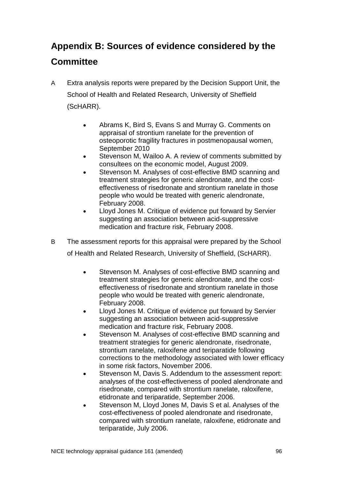# **Appendix B: Sources of evidence considered by the Committee**

- A Extra analysis reports were prepared by the Decision Support Unit, the School of Health and Related Research, University of Sheffield (ScHARR).
	- Abrams K, Bird S, Evans S and Murray G. Comments on appraisal of strontium ranelate for the prevention of osteoporotic fragility fractures in postmenopausal women, September 2010
	- Stevenson M, Wailoo A. A review of comments submitted by consultees on the economic model, August 2009.
	- Stevenson M. Analyses of cost-effective BMD scanning and treatment strategies for generic alendronate, and the costeffectiveness of risedronate and strontium ranelate in those people who would be treated with generic alendronate, February 2008.
	- Lloyd Jones M. Critique of evidence put forward by Servier suggesting an association between acid-suppressive medication and fracture risk, February 2008.
- B The assessment reports for this appraisal were prepared by the School of Health and Related Research, University of Sheffield, (ScHARR).
	- Stevenson M. Analyses of cost-effective BMD scanning and treatment strategies for generic alendronate, and the costeffectiveness of risedronate and strontium ranelate in those people who would be treated with generic alendronate, February 2008.
	- Lloyd Jones M. Critique of evidence put forward by Servier suggesting an association between acid-suppressive medication and fracture risk, February 2008.
	- Stevenson M. Analyses of cost-effective BMD scanning and treatment strategies for generic alendronate, risedronate, strontium ranelate, raloxifene and teriparatide following corrections to the methodology associated with lower efficacy in some risk factors, November 2006.
	- Stevenson M, Davis S. Addendum to the assessment report: analyses of the cost-effectiveness of pooled alendronate and risedronate, compared with strontium ranelate, raloxifene, etidronate and teriparatide, September 2006.
	- Stevenson M, Lloyd Jones M, Davis S et al. Analyses of the cost-effectiveness of pooled alendronate and risedronate, compared with strontium ranelate, raloxifene, etidronate and teriparatide, July 2006.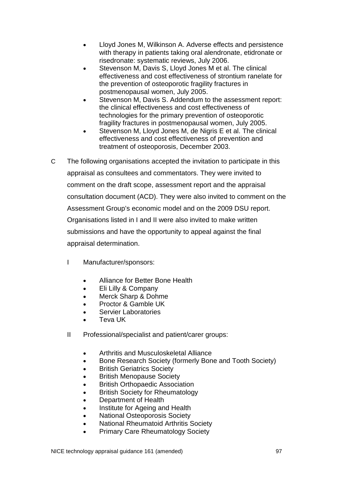- Lloyd Jones M, Wilkinson A. Adverse effects and persistence with therapy in patients taking oral alendronate, etidronate or risedronate: systematic reviews, July 2006.
- Stevenson M, Davis S, Lloyd Jones M et al. The clinical effectiveness and cost effectiveness of strontium ranelate for the prevention of osteoporotic fragility fractures in postmenopausal women, July 2005.
- Stevenson M, Davis S. Addendum to the assessment report: the clinical effectiveness and cost effectiveness of technologies for the primary prevention of osteoporotic fragility fractures in postmenopausal women, July 2005.
- Stevenson M, Lloyd Jones M, de Nigris E et al. The clinical effectiveness and cost effectiveness of prevention and treatment of osteoporosis, December 2003.
- C The following organisations accepted the invitation to participate in this appraisal as consultees and commentators. They were invited to comment on the draft scope, assessment report and the appraisal consultation document (ACD). They were also invited to comment on the Assessment Group's economic model and on the 2009 DSU report. Organisations listed in I and II were also invited to make written submissions and have the opportunity to appeal against the final appraisal determination.
	- I Manufacturer/sponsors:
		- Alliance for Better Bone Health
		- Eli Lilly & Company
		- Merck Sharp & Dohme
		- Proctor & Gamble UK
		- Servier Laboratories
		- Teva UK
	- II Professional/specialist and patient/carer groups:
		- Arthritis and Musculoskeletal Alliance
		- Bone Research Society (formerly Bone and Tooth Society)
		- **British Geriatrics Society**
		- British Menopause Society
		- British Orthopaedic Association
		- British Society for Rheumatology
		- Department of Health
		- Institute for Ageing and Health
		- National Osteoporosis Society
		- National Rheumatoid Arthritis Society
		- Primary Care Rheumatology Society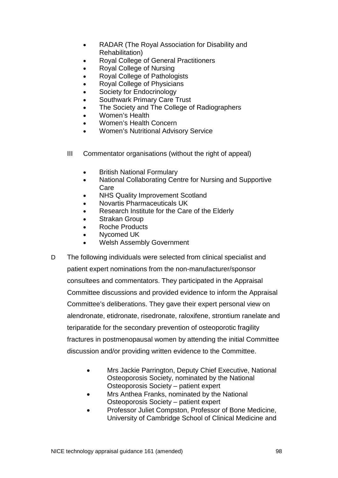- RADAR (The Royal Association for Disability and Rehabilitation)
- Royal College of General Practitioners
- Royal College of Nursing
- Royal College of Pathologists
- Royal College of Physicians
- Society for Endocrinology
- Southwark Primary Care Trust
- The Society and The College of Radiographers
- Women's Health
- Women's Health Concern
- Women's Nutritional Advisory Service
- III Commentator organisations (without the right of appeal)
	- British National Formulary
	- National Collaborating Centre for Nursing and Supportive Care
	- NHS Quality Improvement Scotland
	- Novartis Pharmaceuticals UK
	- Research Institute for the Care of the Elderly
	- Strakan Group
	- Roche Products
	- Nycomed UK
	- Welsh Assembly Government
- D The following individuals were selected from clinical specialist and patient expert nominations from the non-manufacturer/sponsor consultees and commentators. They participated in the Appraisal Committee discussions and provided evidence to inform the Appraisal Committee's deliberations. They gave their expert personal view on alendronate, etidronate, risedronate, raloxifene, strontium ranelate and teriparatide for the secondary prevention of osteoporotic fragility fractures in postmenopausal women by attending the initial Committee discussion and/or providing written evidence to the Committee.
	- Mrs Jackie Parrington, Deputy Chief Executive, National Osteoporosis Society, nominated by the National Osteoporosis Society – patient expert
	- Mrs Anthea Franks, nominated by the National Osteoporosis Society – patient expert
	- Professor Juliet Compston, Professor of Bone Medicine, University of Cambridge School of Clinical Medicine and